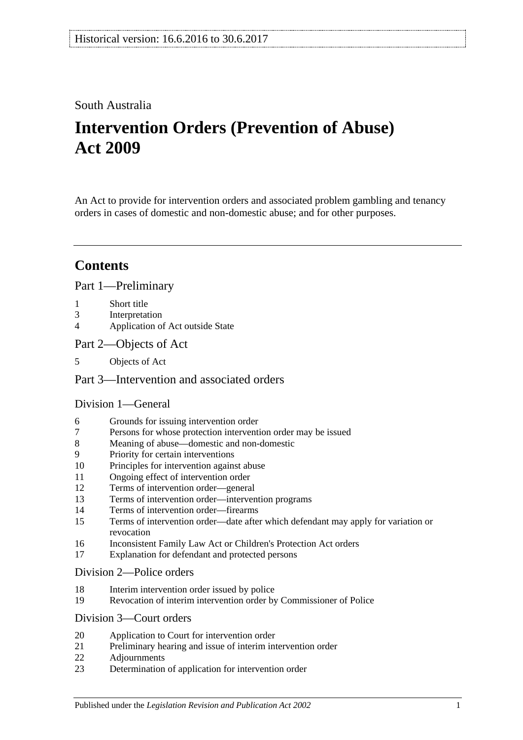## South Australia

# **Intervention Orders (Prevention of Abuse) Act 2009**

An Act to provide for intervention orders and associated problem gambling and tenancy orders in cases of domestic and non-domestic abuse; and for other purposes.

## **Contents**

#### [Part 1—Preliminary](#page-2-0)

- 1 [Short title](#page-2-1)
- 3 [Interpretation](#page-2-2)
- 4 [Application of Act outside State](#page-4-0)
- [Part 2—Objects of Act](#page-4-1)
- 5 [Objects of Act](#page-4-2)

## [Part 3—Intervention and associated orders](#page-5-0)

### [Division 1—General](#page-5-1)

- 6 [Grounds for issuing intervention order](#page-5-2)
- 7 [Persons for whose protection intervention order may be issued](#page-5-3)
- 8 [Meaning of abuse—domestic and non-domestic](#page-5-4)
- 9 [Priority for certain interventions](#page-8-0)
- 10 [Principles for intervention against abuse](#page-8-1)
- 11 [Ongoing effect of intervention order](#page-10-0)
- 12 [Terms of intervention order—general](#page-10-1)
- 13 [Terms of intervention order—intervention programs](#page-11-0)
- 14 [Terms of intervention order—firearms](#page-12-0)
- 15 [Terms of intervention order—date after which defendant may apply for variation or](#page-12-1)  [revocation](#page-12-1)
- 16 [Inconsistent Family Law Act or Children's Protection Act orders](#page-12-2)
- 17 [Explanation for defendant and protected persons](#page-13-0)

#### [Division 2—Police orders](#page-13-1)

- 18 [Interim intervention order issued by police](#page-13-2)
- 19 [Revocation of interim intervention order by Commissioner of Police](#page-14-0)

## [Division 3—Court orders](#page-14-1)

- 20 [Application to Court for intervention order](#page-14-2)
- 21 [Preliminary hearing and issue of interim intervention order](#page-15-0)
- 22 [Adjournments](#page-17-0)
- 23 [Determination of application for intervention order](#page-17-1)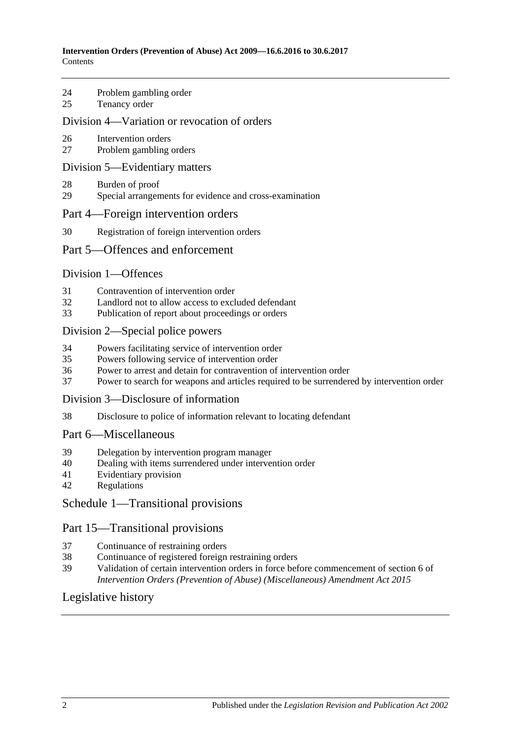- 24 [Problem gambling order](#page-19-0)
- 25 [Tenancy order](#page-19-1)

#### [Division 4—Variation or revocation of orders](#page-21-0)

- 26 [Intervention orders](#page-21-1)
- 27 [Problem gambling orders](#page-22-0)

#### [Division 5—Evidentiary matters](#page-23-0)

- 28 [Burden of proof](#page-23-1)
- 29 [Special arrangements for evidence and cross-examination](#page-23-2)

#### [Part 4—Foreign intervention orders](#page-24-0)

30 [Registration of foreign intervention orders](#page-24-1)

#### [Part 5—Offences and enforcement](#page-24-2)

#### [Division 1—Offences](#page-24-3)

- 31 [Contravention of intervention order](#page-24-4)
- 32 [Landlord not to allow access to excluded defendant](#page-25-0)<br>33 Publication of report about proceedings or orders
- [Publication of report about proceedings or orders](#page-25-1)

#### [Division 2—Special police powers](#page-26-0)

- 34 [Powers facilitating service of intervention order](#page-26-1)
- 35 [Powers following service of intervention order](#page-27-0)
- 36 [Power to arrest and detain for contravention of intervention order](#page-27-1)
- 37 [Power to search for weapons and articles required to be surrendered by intervention order](#page-27-2)

#### [Division 3—Disclosure of information](#page-28-0)

38 [Disclosure to police of information relevant to locating defendant](#page-28-1)

### [Part 6—Miscellaneous](#page-28-2)

- 39 [Delegation by intervention program manager](#page-28-3)
- 40 [Dealing with items surrendered under intervention order](#page-28-4)
- 41 [Evidentiary provision](#page-28-5)
- 42 [Regulations](#page-28-6)

## [Schedule 1—Transitional provisions](#page-29-0)

#### Part 15—Transitional provisions

- 37 [Continuance of restraining orders](#page-29-1)
- 38 [Continuance of registered foreign restraining orders](#page-29-2)
- 39 [Validation of certain intervention orders in force before commencement of section](#page-29-3) 6 of *[Intervention Orders \(Prevention of Abuse\) \(Miscellaneous\) Amendment Act](#page-29-3) 2015*

## [Legislative history](#page-30-0)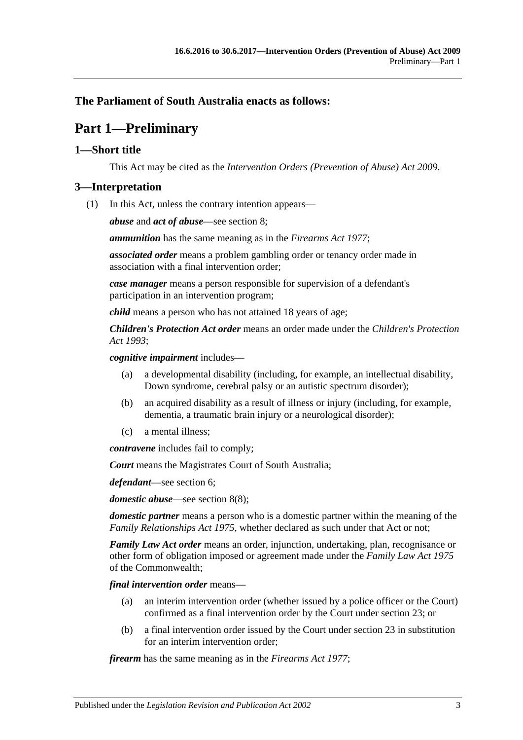## <span id="page-2-0"></span>**The Parliament of South Australia enacts as follows:**

## **Part 1—Preliminary**

## <span id="page-2-1"></span>**1—Short title**

This Act may be cited as the *Intervention Orders (Prevention of Abuse) Act 2009*.

#### <span id="page-2-2"></span>**3—Interpretation**

(1) In this Act, unless the contrary intention appears—

*abuse* and *act of abuse*—see [section](#page-5-4) 8;

*ammunition* has the same meaning as in the *[Firearms Act](http://www.legislation.sa.gov.au/index.aspx?action=legref&type=act&legtitle=Firearms%20Act%201977) 1977*;

*associated order* means a problem gambling order or tenancy order made in association with a final intervention order;

*case manager* means a person responsible for supervision of a defendant's participation in an intervention program;

*child* means a person who has not attained 18 years of age;

*Children's Protection Act order* means an order made under the *[Children's Protection](http://www.legislation.sa.gov.au/index.aspx?action=legref&type=act&legtitle=Childrens%20Protection%20Act%201993)  Act [1993](http://www.legislation.sa.gov.au/index.aspx?action=legref&type=act&legtitle=Childrens%20Protection%20Act%201993)*;

*cognitive impairment* includes—

- (a) a developmental disability (including, for example, an intellectual disability, Down syndrome, cerebral palsy or an autistic spectrum disorder);
- (b) an acquired disability as a result of illness or injury (including, for example, dementia, a traumatic brain injury or a neurological disorder);
- (c) a mental illness;

*contravene* includes fail to comply;

*Court* means the Magistrates Court of South Australia;

*defendant*—see [section](#page-5-2) 6;

*domestic abuse*—see [section](#page-8-2) 8(8);

*domestic partner* means a person who is a domestic partner within the meaning of the *[Family Relationships Act](http://www.legislation.sa.gov.au/index.aspx?action=legref&type=act&legtitle=Family%20Relationships%20Act%201975) 1975*, whether declared as such under that Act or not;

*Family Law Act order* means an order, injunction, undertaking, plan, recognisance or other form of obligation imposed or agreement made under the *Family Law Act 1975* of the Commonwealth;

*final intervention order* means—

- (a) an interim intervention order (whether issued by a police officer or the Court) confirmed as a final intervention order by the Court under [section](#page-17-1) 23; or
- (b) a final intervention order issued by the Court under [section](#page-17-1) 23 in substitution for an interim intervention order;

*firearm* has the same meaning as in the *[Firearms Act](http://www.legislation.sa.gov.au/index.aspx?action=legref&type=act&legtitle=Firearms%20Act%201977) 1977*;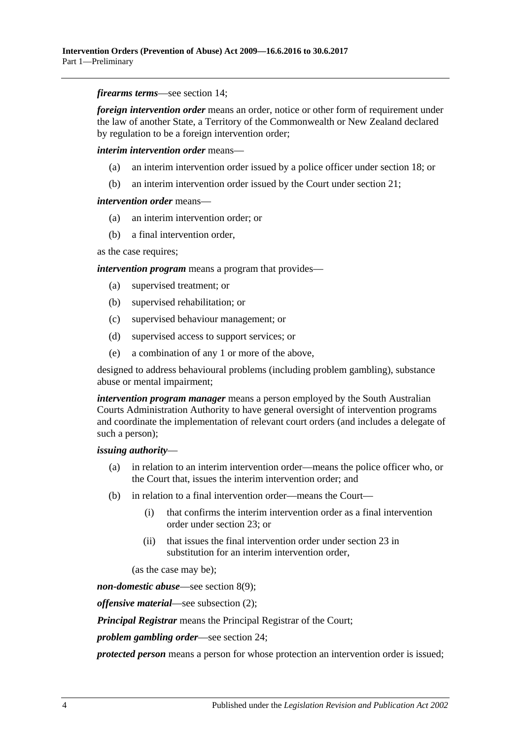*firearms terms*—see [section](#page-12-0) 14;

*foreign intervention order* means an order, notice or other form of requirement under the law of another State, a Territory of the Commonwealth or New Zealand declared by regulation to be a foreign intervention order;

*interim intervention order* means—

- (a) an interim intervention order issued by a police officer under [section](#page-13-2) 18; or
- (b) an interim intervention order issued by the Court under [section](#page-15-0) 21;

#### *intervention order* means—

- (a) an interim intervention order; or
- (b) a final intervention order,

as the case requires;

*intervention program* means a program that provides—

- (a) supervised treatment; or
- (b) supervised rehabilitation; or
- (c) supervised behaviour management; or
- (d) supervised access to support services; or
- (e) a combination of any 1 or more of the above,

designed to address behavioural problems (including problem gambling), substance abuse or mental impairment;

*intervention program manager* means a person employed by the South Australian Courts Administration Authority to have general oversight of intervention programs and coordinate the implementation of relevant court orders (and includes a delegate of such a person);

#### *issuing authority*—

- (a) in relation to an interim intervention order—means the police officer who, or the Court that, issues the interim intervention order; and
- (b) in relation to a final intervention order—means the Court—
	- (i) that confirms the interim intervention order as a final intervention order under [section](#page-17-1) 23; or
	- (ii) that issues the final intervention order under [section](#page-17-1) 23 in substitution for an interim intervention order,

(as the case may be);

*non-domestic abuse*—see [section](#page-8-3) 8(9);

*offensive material*—see [subsection](#page-4-3) (2);

*Principal Registrar* means the Principal Registrar of the Court;

*problem gambling order*—see [section](#page-19-0) 24;

*protected person* means a person for whose protection an intervention order is issued;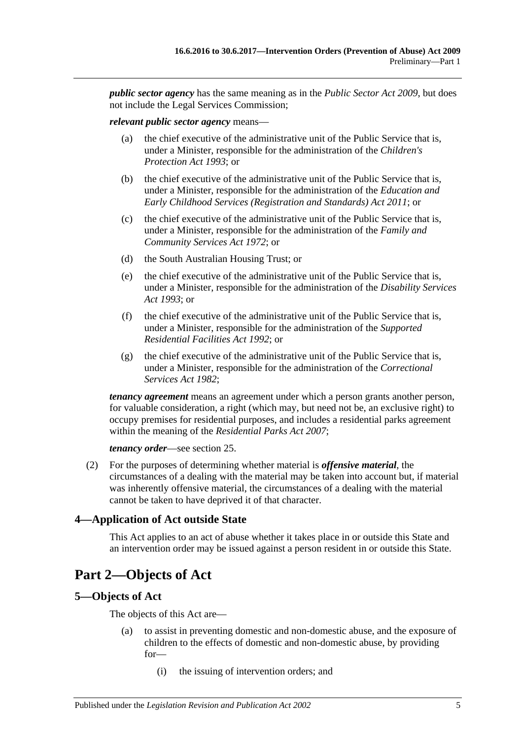*public sector agency* has the same meaning as in the *[Public Sector Act](http://www.legislation.sa.gov.au/index.aspx?action=legref&type=act&legtitle=Public%20Sector%20Act%202009) 2009*, but does not include the Legal Services Commission;

#### *relevant public sector agency* means—

- (a) the chief executive of the administrative unit of the Public Service that is, under a Minister, responsible for the administration of the *[Children's](http://www.legislation.sa.gov.au/index.aspx?action=legref&type=act&legtitle=Childrens%20Protection%20Act%201993)  [Protection Act](http://www.legislation.sa.gov.au/index.aspx?action=legref&type=act&legtitle=Childrens%20Protection%20Act%201993) 1993*; or
- (b) the chief executive of the administrative unit of the Public Service that is, under a Minister, responsible for the administration of the *[Education and](http://www.legislation.sa.gov.au/index.aspx?action=legref&type=act&legtitle=Education%20and%20Early%20Childhood%20Services%20(Registration%20and%20Standards)%20Act%202011)  [Early Childhood Services \(Registration and Standards\) Act](http://www.legislation.sa.gov.au/index.aspx?action=legref&type=act&legtitle=Education%20and%20Early%20Childhood%20Services%20(Registration%20and%20Standards)%20Act%202011) 2011*; or
- (c) the chief executive of the administrative unit of the Public Service that is, under a Minister, responsible for the administration of the *[Family and](http://www.legislation.sa.gov.au/index.aspx?action=legref&type=act&legtitle=Family%20and%20Community%20Services%20Act%201972)  [Community Services Act](http://www.legislation.sa.gov.au/index.aspx?action=legref&type=act&legtitle=Family%20and%20Community%20Services%20Act%201972) 1972*; or
- (d) the South Australian Housing Trust; or
- (e) the chief executive of the administrative unit of the Public Service that is, under a Minister, responsible for the administration of the *[Disability Services](http://www.legislation.sa.gov.au/index.aspx?action=legref&type=act&legtitle=Disability%20Services%20Act%201993)  Act [1993](http://www.legislation.sa.gov.au/index.aspx?action=legref&type=act&legtitle=Disability%20Services%20Act%201993)*; or
- (f) the chief executive of the administrative unit of the Public Service that is, under a Minister, responsible for the administration of the *[Supported](http://www.legislation.sa.gov.au/index.aspx?action=legref&type=act&legtitle=Supported%20Residential%20Facilities%20Act%201992)  [Residential Facilities Act](http://www.legislation.sa.gov.au/index.aspx?action=legref&type=act&legtitle=Supported%20Residential%20Facilities%20Act%201992) 1992*; or
- (g) the chief executive of the administrative unit of the Public Service that is, under a Minister, responsible for the administration of the *[Correctional](http://www.legislation.sa.gov.au/index.aspx?action=legref&type=act&legtitle=Correctional%20Services%20Act%201982)  [Services Act](http://www.legislation.sa.gov.au/index.aspx?action=legref&type=act&legtitle=Correctional%20Services%20Act%201982) 1982*;

*tenancy agreement* means an agreement under which a person grants another person, for valuable consideration, a right (which may, but need not be, an exclusive right) to occupy premises for residential purposes, and includes a residential parks agreement within the meaning of the *[Residential Parks Act](http://www.legislation.sa.gov.au/index.aspx?action=legref&type=act&legtitle=Residential%20Parks%20Act%202007) 2007*;

*tenancy order*—see [section](#page-19-1) 25.

<span id="page-4-3"></span>(2) For the purposes of determining whether material is *offensive material*, the circumstances of a dealing with the material may be taken into account but, if material was inherently offensive material, the circumstances of a dealing with the material cannot be taken to have deprived it of that character.

#### <span id="page-4-0"></span>**4—Application of Act outside State**

This Act applies to an act of abuse whether it takes place in or outside this State and an intervention order may be issued against a person resident in or outside this State.

## <span id="page-4-1"></span>**Part 2—Objects of Act**

#### <span id="page-4-2"></span>**5—Objects of Act**

The objects of this Act are—

- (a) to assist in preventing domestic and non-domestic abuse, and the exposure of children to the effects of domestic and non-domestic abuse, by providing for—
	- (i) the issuing of intervention orders; and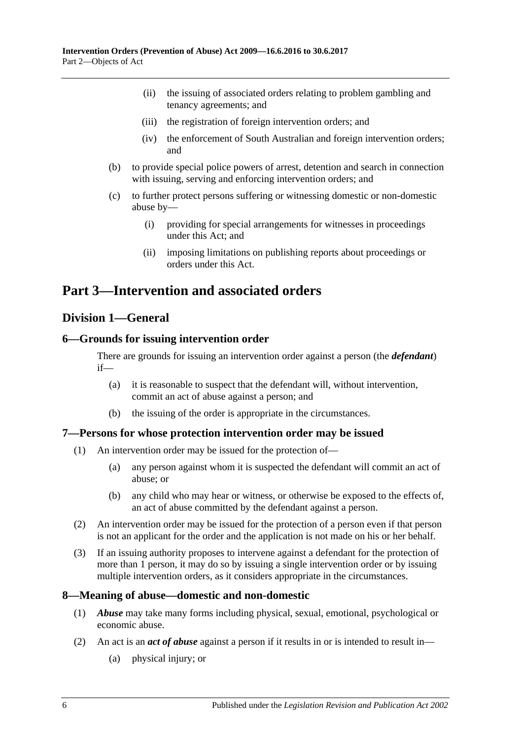- (ii) the issuing of associated orders relating to problem gambling and tenancy agreements; and
- (iii) the registration of foreign intervention orders; and
- (iv) the enforcement of South Australian and foreign intervention orders; and
- (b) to provide special police powers of arrest, detention and search in connection with issuing, serving and enforcing intervention orders; and
- (c) to further protect persons suffering or witnessing domestic or non-domestic abuse by—
	- (i) providing for special arrangements for witnesses in proceedings under this Act; and
	- (ii) imposing limitations on publishing reports about proceedings or orders under this Act.

## <span id="page-5-0"></span>**Part 3—Intervention and associated orders**

## <span id="page-5-1"></span>**Division 1—General**

## <span id="page-5-2"></span>**6—Grounds for issuing intervention order**

There are grounds for issuing an intervention order against a person (the *defendant*) if—

- (a) it is reasonable to suspect that the defendant will, without intervention, commit an act of abuse against a person; and
- (b) the issuing of the order is appropriate in the circumstances.

#### <span id="page-5-3"></span>**7—Persons for whose protection intervention order may be issued**

- (1) An intervention order may be issued for the protection of—
	- (a) any person against whom it is suspected the defendant will commit an act of abuse; or
	- (b) any child who may hear or witness, or otherwise be exposed to the effects of, an act of abuse committed by the defendant against a person.
- (2) An intervention order may be issued for the protection of a person even if that person is not an applicant for the order and the application is not made on his or her behalf.
- (3) If an issuing authority proposes to intervene against a defendant for the protection of more than 1 person, it may do so by issuing a single intervention order or by issuing multiple intervention orders, as it considers appropriate in the circumstances.

#### <span id="page-5-4"></span>**8—Meaning of abuse—domestic and non-domestic**

- (1) *Abuse* may take many forms including physical, sexual, emotional, psychological or economic abuse.
- (2) An act is an *act of abuse* against a person if it results in or is intended to result in—
	- (a) physical injury; or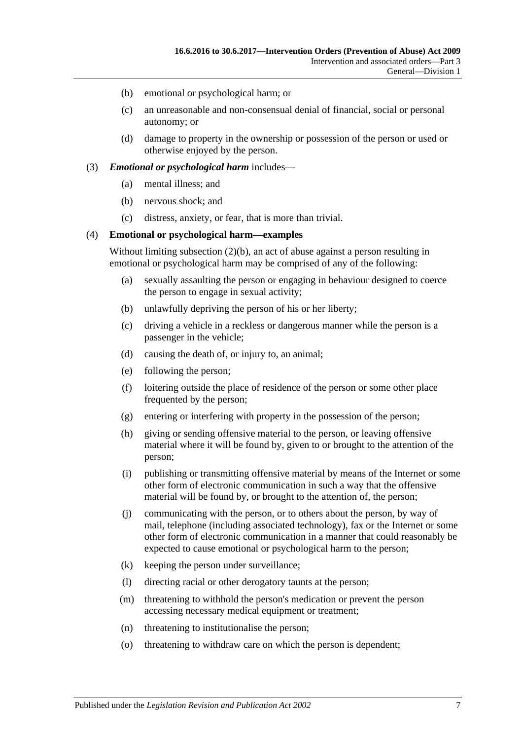- <span id="page-6-1"></span><span id="page-6-0"></span>(b) emotional or psychological harm; or
- (c) an unreasonable and non-consensual denial of financial, social or personal autonomy; or
- (d) damage to property in the ownership or possession of the person or used or otherwise enjoyed by the person.

#### (3) *Emotional or psychological harm* includes—

- (a) mental illness; and
- (b) nervous shock; and
- (c) distress, anxiety, or fear, that is more than trivial.

#### (4) **Emotional or psychological harm—examples**

Without limiting [subsection](#page-6-0) (2)(b), an act of abuse against a person resulting in emotional or psychological harm may be comprised of any of the following:

- (a) sexually assaulting the person or engaging in behaviour designed to coerce the person to engage in sexual activity;
- (b) unlawfully depriving the person of his or her liberty;
- (c) driving a vehicle in a reckless or dangerous manner while the person is a passenger in the vehicle;
- (d) causing the death of, or injury to, an animal;
- (e) following the person;
- (f) loitering outside the place of residence of the person or some other place frequented by the person;
- (g) entering or interfering with property in the possession of the person;
- (h) giving or sending offensive material to the person, or leaving offensive material where it will be found by, given to or brought to the attention of the person;
- (i) publishing or transmitting offensive material by means of the Internet or some other form of electronic communication in such a way that the offensive material will be found by, or brought to the attention of, the person;
- (j) communicating with the person, or to others about the person, by way of mail, telephone (including associated technology), fax or the Internet or some other form of electronic communication in a manner that could reasonably be expected to cause emotional or psychological harm to the person;
- (k) keeping the person under surveillance;
- (l) directing racial or other derogatory taunts at the person;
- (m) threatening to withhold the person's medication or prevent the person accessing necessary medical equipment or treatment;
- (n) threatening to institutionalise the person;
- (o) threatening to withdraw care on which the person is dependent;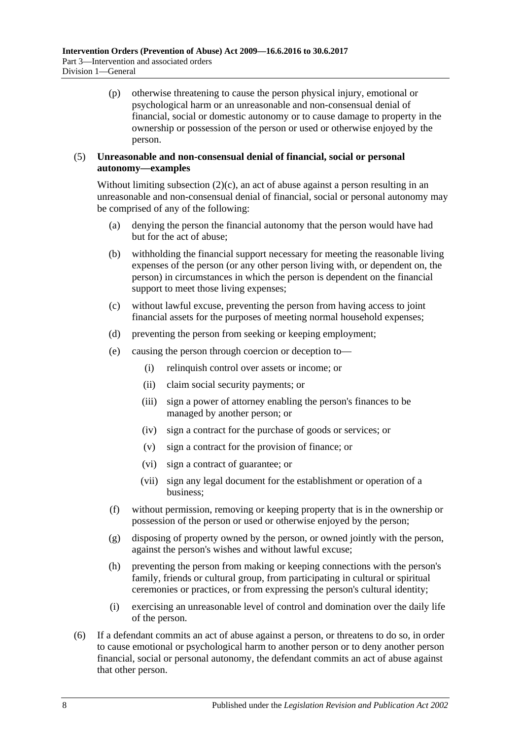(p) otherwise threatening to cause the person physical injury, emotional or psychological harm or an unreasonable and non-consensual denial of financial, social or domestic autonomy or to cause damage to property in the ownership or possession of the person or used or otherwise enjoyed by the person.

#### (5) **Unreasonable and non-consensual denial of financial, social or personal autonomy—examples**

Without limiting [subsection](#page-6-1)  $(2)(c)$ , an act of abuse against a person resulting in an unreasonable and non-consensual denial of financial, social or personal autonomy may be comprised of any of the following:

- (a) denying the person the financial autonomy that the person would have had but for the act of abuse;
- (b) withholding the financial support necessary for meeting the reasonable living expenses of the person (or any other person living with, or dependent on, the person) in circumstances in which the person is dependent on the financial support to meet those living expenses;
- (c) without lawful excuse, preventing the person from having access to joint financial assets for the purposes of meeting normal household expenses;
- (d) preventing the person from seeking or keeping employment;
- (e) causing the person through coercion or deception to—
	- (i) relinquish control over assets or income; or
	- (ii) claim social security payments; or
	- (iii) sign a power of attorney enabling the person's finances to be managed by another person; or
	- (iv) sign a contract for the purchase of goods or services; or
	- (v) sign a contract for the provision of finance; or
	- (vi) sign a contract of guarantee; or
	- (vii) sign any legal document for the establishment or operation of a business;
- (f) without permission, removing or keeping property that is in the ownership or possession of the person or used or otherwise enjoyed by the person;
- (g) disposing of property owned by the person, or owned jointly with the person, against the person's wishes and without lawful excuse;
- (h) preventing the person from making or keeping connections with the person's family, friends or cultural group, from participating in cultural or spiritual ceremonies or practices, or from expressing the person's cultural identity;
- (i) exercising an unreasonable level of control and domination over the daily life of the person.
- (6) If a defendant commits an act of abuse against a person, or threatens to do so, in order to cause emotional or psychological harm to another person or to deny another person financial, social or personal autonomy, the defendant commits an act of abuse against that other person.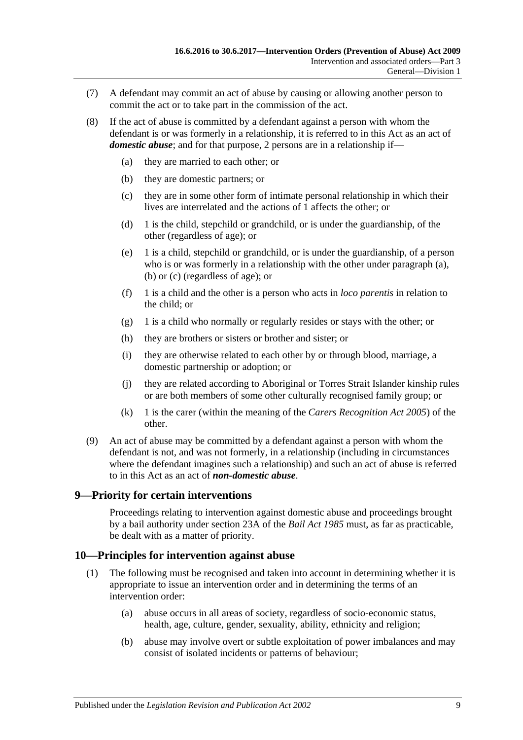- (7) A defendant may commit an act of abuse by causing or allowing another person to commit the act or to take part in the commission of the act.
- <span id="page-8-6"></span><span id="page-8-5"></span><span id="page-8-4"></span><span id="page-8-2"></span>(8) If the act of abuse is committed by a defendant against a person with whom the defendant is or was formerly in a relationship, it is referred to in this Act as an act of *domestic abuse*; and for that purpose, 2 persons are in a relationship if—
	- (a) they are married to each other; or
	- (b) they are domestic partners; or
	- (c) they are in some other form of intimate personal relationship in which their lives are interrelated and the actions of 1 affects the other; or
	- (d) 1 is the child, stepchild or grandchild, or is under the guardianship, of the other (regardless of age); or
	- (e) 1 is a child, stepchild or grandchild, or is under the guardianship, of a person who is or was formerly in a relationship with the other under [paragraph](#page-8-4) (a), [\(b\)](#page-8-5) or [\(c\)](#page-8-6) (regardless of age); or
	- (f) 1 is a child and the other is a person who acts in *loco parentis* in relation to the child; or
	- (g) 1 is a child who normally or regularly resides or stays with the other; or
	- (h) they are brothers or sisters or brother and sister; or
	- (i) they are otherwise related to each other by or through blood, marriage, a domestic partnership or adoption; or
	- (j) they are related according to Aboriginal or Torres Strait Islander kinship rules or are both members of some other culturally recognised family group; or
	- (k) 1 is the carer (within the meaning of the *[Carers Recognition Act](http://www.legislation.sa.gov.au/index.aspx?action=legref&type=act&legtitle=Carers%20Recognition%20Act%202005) 2005*) of the other.
- <span id="page-8-3"></span>(9) An act of abuse may be committed by a defendant against a person with whom the defendant is not, and was not formerly, in a relationship (including in circumstances where the defendant imagines such a relationship) and such an act of abuse is referred to in this Act as an act of *non-domestic abuse*.

## <span id="page-8-0"></span>**9—Priority for certain interventions**

Proceedings relating to intervention against domestic abuse and proceedings brought by a bail authority under section 23A of the *[Bail Act](http://www.legislation.sa.gov.au/index.aspx?action=legref&type=act&legtitle=Bail%20Act%201985) 1985* must, as far as practicable, be dealt with as a matter of priority.

## <span id="page-8-1"></span>**10—Principles for intervention against abuse**

- (1) The following must be recognised and taken into account in determining whether it is appropriate to issue an intervention order and in determining the terms of an intervention order:
	- (a) abuse occurs in all areas of society, regardless of socio-economic status, health, age, culture, gender, sexuality, ability, ethnicity and religion;
	- (b) abuse may involve overt or subtle exploitation of power imbalances and may consist of isolated incidents or patterns of behaviour;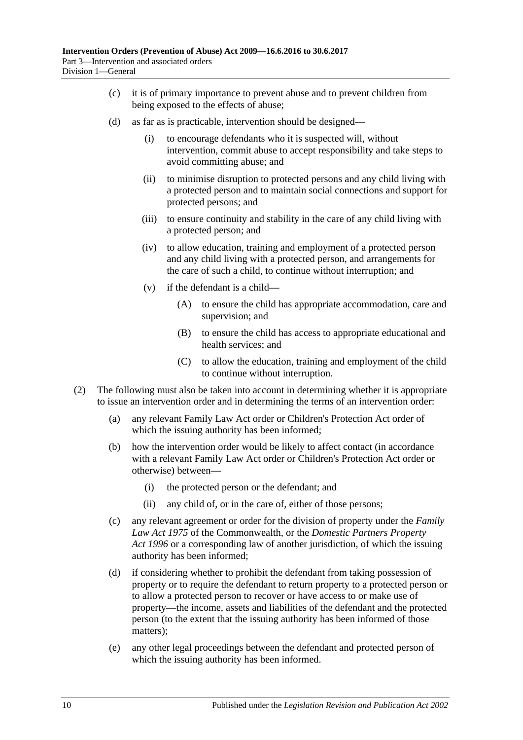- (c) it is of primary importance to prevent abuse and to prevent children from being exposed to the effects of abuse;
- (d) as far as is practicable, intervention should be designed—
	- (i) to encourage defendants who it is suspected will, without intervention, commit abuse to accept responsibility and take steps to avoid committing abuse; and
	- (ii) to minimise disruption to protected persons and any child living with a protected person and to maintain social connections and support for protected persons; and
	- (iii) to ensure continuity and stability in the care of any child living with a protected person; and
	- (iv) to allow education, training and employment of a protected person and any child living with a protected person, and arrangements for the care of such a child, to continue without interruption; and
	- (v) if the defendant is a child—
		- (A) to ensure the child has appropriate accommodation, care and supervision; and
		- (B) to ensure the child has access to appropriate educational and health services; and
		- (C) to allow the education, training and employment of the child to continue without interruption.
- (2) The following must also be taken into account in determining whether it is appropriate to issue an intervention order and in determining the terms of an intervention order:
	- (a) any relevant Family Law Act order or Children's Protection Act order of which the issuing authority has been informed;
	- (b) how the intervention order would be likely to affect contact (in accordance with a relevant Family Law Act order or Children's Protection Act order or otherwise) between—
		- (i) the protected person or the defendant; and
		- (ii) any child of, or in the care of, either of those persons;
	- (c) any relevant agreement or order for the division of property under the *Family Law Act 1975* of the Commonwealth, or the *[Domestic Partners Property](http://www.legislation.sa.gov.au/index.aspx?action=legref&type=act&legtitle=Domestic%20Partners%20Property%20Act%201996)  Act [1996](http://www.legislation.sa.gov.au/index.aspx?action=legref&type=act&legtitle=Domestic%20Partners%20Property%20Act%201996)* or a corresponding law of another jurisdiction, of which the issuing authority has been informed;
	- (d) if considering whether to prohibit the defendant from taking possession of property or to require the defendant to return property to a protected person or to allow a protected person to recover or have access to or make use of property—the income, assets and liabilities of the defendant and the protected person (to the extent that the issuing authority has been informed of those matters);
	- (e) any other legal proceedings between the defendant and protected person of which the issuing authority has been informed.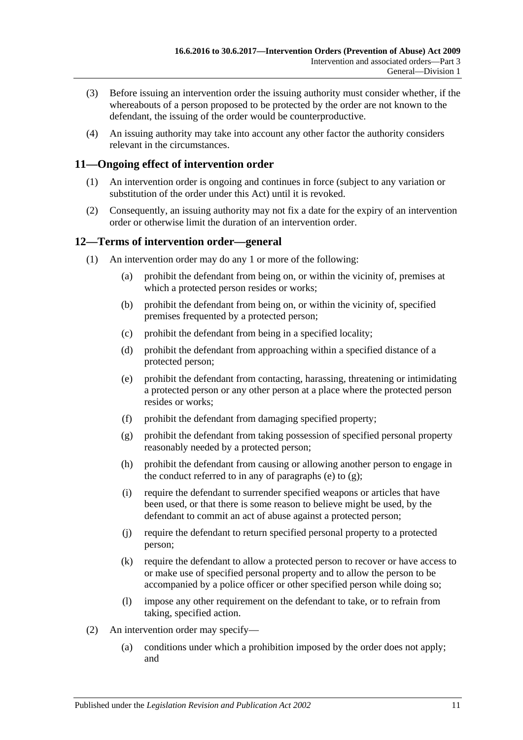- (3) Before issuing an intervention order the issuing authority must consider whether, if the whereabouts of a person proposed to be protected by the order are not known to the defendant, the issuing of the order would be counterproductive.
- (4) An issuing authority may take into account any other factor the authority considers relevant in the circumstances.

## <span id="page-10-0"></span>**11—Ongoing effect of intervention order**

- (1) An intervention order is ongoing and continues in force (subject to any variation or substitution of the order under this Act) until it is revoked.
- (2) Consequently, an issuing authority may not fix a date for the expiry of an intervention order or otherwise limit the duration of an intervention order.

## <span id="page-10-1"></span>**12—Terms of intervention order—general**

- <span id="page-10-3"></span><span id="page-10-2"></span>(1) An intervention order may do any 1 or more of the following:
	- (a) prohibit the defendant from being on, or within the vicinity of, premises at which a protected person resides or works;
	- (b) prohibit the defendant from being on, or within the vicinity of, specified premises frequented by a protected person;
	- (c) prohibit the defendant from being in a specified locality;
	- (d) prohibit the defendant from approaching within a specified distance of a protected person;
	- (e) prohibit the defendant from contacting, harassing, threatening or intimidating a protected person or any other person at a place where the protected person resides or works;
	- (f) prohibit the defendant from damaging specified property;
	- (g) prohibit the defendant from taking possession of specified personal property reasonably needed by a protected person;
	- (h) prohibit the defendant from causing or allowing another person to engage in the conduct referred to in any of [paragraphs](#page-10-2) (e) to  $(g)$ ;
	- (i) require the defendant to surrender specified weapons or articles that have been used, or that there is some reason to believe might be used, by the defendant to commit an act of abuse against a protected person;
	- (j) require the defendant to return specified personal property to a protected person;
	- (k) require the defendant to allow a protected person to recover or have access to or make use of specified personal property and to allow the person to be accompanied by a police officer or other specified person while doing so;
	- (l) impose any other requirement on the defendant to take, or to refrain from taking, specified action.
- (2) An intervention order may specify—
	- (a) conditions under which a prohibition imposed by the order does not apply; and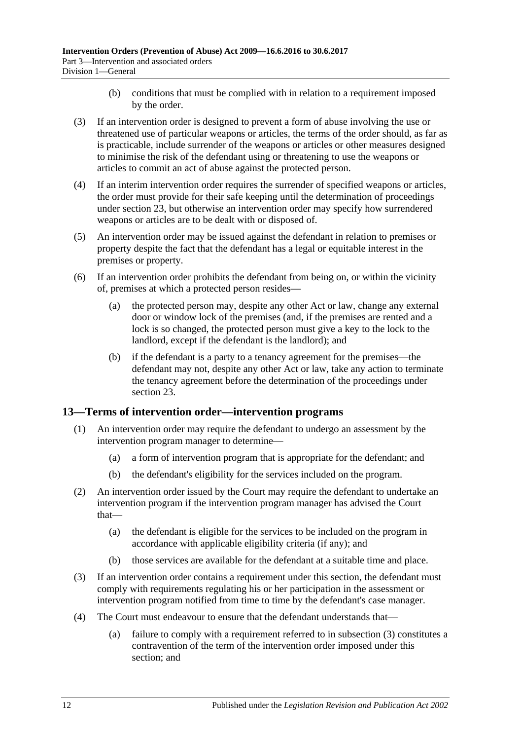- (b) conditions that must be complied with in relation to a requirement imposed by the order.
- (3) If an intervention order is designed to prevent a form of abuse involving the use or threatened use of particular weapons or articles, the terms of the order should, as far as is practicable, include surrender of the weapons or articles or other measures designed to minimise the risk of the defendant using or threatening to use the weapons or articles to commit an act of abuse against the protected person.
- (4) If an interim intervention order requires the surrender of specified weapons or articles, the order must provide for their safe keeping until the determination of proceedings under [section](#page-17-1) 23, but otherwise an intervention order may specify how surrendered weapons or articles are to be dealt with or disposed of.
- (5) An intervention order may be issued against the defendant in relation to premises or property despite the fact that the defendant has a legal or equitable interest in the premises or property.
- (6) If an intervention order prohibits the defendant from being on, or within the vicinity of, premises at which a protected person resides—
	- (a) the protected person may, despite any other Act or law, change any external door or window lock of the premises (and, if the premises are rented and a lock is so changed, the protected person must give a key to the lock to the landlord, except if the defendant is the landlord); and
	- (b) if the defendant is a party to a tenancy agreement for the premises—the defendant may not, despite any other Act or law, take any action to terminate the tenancy agreement before the determination of the proceedings under [section](#page-17-1) 23.

## <span id="page-11-0"></span>**13—Terms of intervention order—intervention programs**

- (1) An intervention order may require the defendant to undergo an assessment by the intervention program manager to determine—
	- (a) a form of intervention program that is appropriate for the defendant; and
	- (b) the defendant's eligibility for the services included on the program.
- (2) An intervention order issued by the Court may require the defendant to undertake an intervention program if the intervention program manager has advised the Court that—
	- (a) the defendant is eligible for the services to be included on the program in accordance with applicable eligibility criteria (if any); and
	- (b) those services are available for the defendant at a suitable time and place.
- <span id="page-11-1"></span>(3) If an intervention order contains a requirement under this section, the defendant must comply with requirements regulating his or her participation in the assessment or intervention program notified from time to time by the defendant's case manager.
- (4) The Court must endeavour to ensure that the defendant understands that—
	- (a) failure to comply with a requirement referred to in [subsection](#page-11-1) (3) constitutes a contravention of the term of the intervention order imposed under this section; and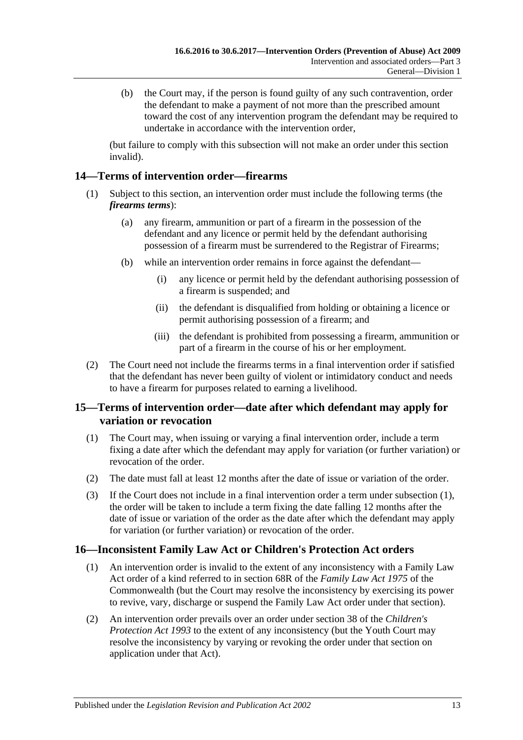(b) the Court may, if the person is found guilty of any such contravention, order the defendant to make a payment of not more than the prescribed amount toward the cost of any intervention program the defendant may be required to undertake in accordance with the intervention order,

(but failure to comply with this subsection will not make an order under this section invalid).

## <span id="page-12-0"></span>**14—Terms of intervention order—firearms**

- (1) Subject to this section, an intervention order must include the following terms (the *firearms terms*):
	- (a) any firearm, ammunition or part of a firearm in the possession of the defendant and any licence or permit held by the defendant authorising possession of a firearm must be surrendered to the Registrar of Firearms;
	- (b) while an intervention order remains in force against the defendant—
		- (i) any licence or permit held by the defendant authorising possession of a firearm is suspended; and
		- (ii) the defendant is disqualified from holding or obtaining a licence or permit authorising possession of a firearm; and
		- (iii) the defendant is prohibited from possessing a firearm, ammunition or part of a firearm in the course of his or her employment.
- (2) The Court need not include the firearms terms in a final intervention order if satisfied that the defendant has never been guilty of violent or intimidatory conduct and needs to have a firearm for purposes related to earning a livelihood.

## <span id="page-12-1"></span>**15—Terms of intervention order—date after which defendant may apply for variation or revocation**

- <span id="page-12-3"></span>(1) The Court may, when issuing or varying a final intervention order, include a term fixing a date after which the defendant may apply for variation (or further variation) or revocation of the order.
- (2) The date must fall at least 12 months after the date of issue or variation of the order.
- (3) If the Court does not include in a final intervention order a term under [subsection](#page-12-3) (1), the order will be taken to include a term fixing the date falling 12 months after the date of issue or variation of the order as the date after which the defendant may apply for variation (or further variation) or revocation of the order.

## <span id="page-12-2"></span>**16—Inconsistent Family Law Act or Children's Protection Act orders**

- (1) An intervention order is invalid to the extent of any inconsistency with a Family Law Act order of a kind referred to in section 68R of the *Family Law Act 1975* of the Commonwealth (but the Court may resolve the inconsistency by exercising its power to revive, vary, discharge or suspend the Family Law Act order under that section).
- (2) An intervention order prevails over an order under section 38 of the *[Children's](http://www.legislation.sa.gov.au/index.aspx?action=legref&type=act&legtitle=Childrens%20Protection%20Act%201993)  [Protection Act](http://www.legislation.sa.gov.au/index.aspx?action=legref&type=act&legtitle=Childrens%20Protection%20Act%201993) 1993* to the extent of any inconsistency (but the Youth Court may resolve the inconsistency by varying or revoking the order under that section on application under that Act).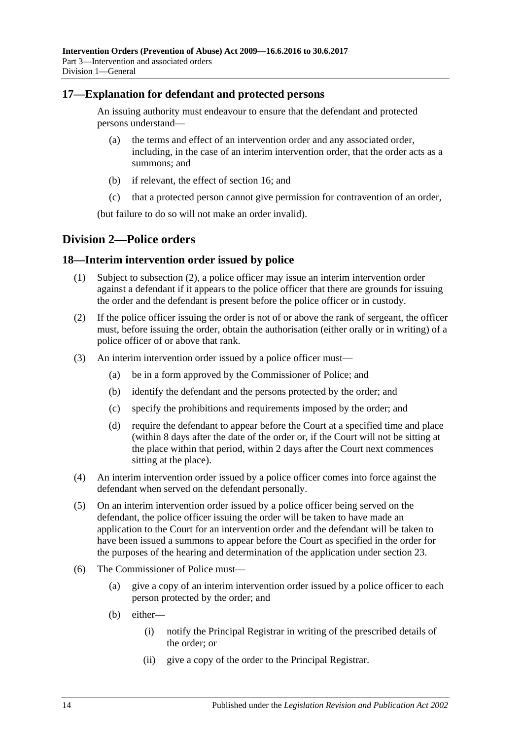## <span id="page-13-0"></span>**17—Explanation for defendant and protected persons**

An issuing authority must endeavour to ensure that the defendant and protected persons understand—

- (a) the terms and effect of an intervention order and any associated order, including, in the case of an interim intervention order, that the order acts as a summons; and
- (b) if relevant, the effect of [section](#page-12-2) 16; and
- (c) that a protected person cannot give permission for contravention of an order,

(but failure to do so will not make an order invalid).

## <span id="page-13-1"></span>**Division 2—Police orders**

#### <span id="page-13-2"></span>**18—Interim intervention order issued by police**

- (1) Subject to [subsection](#page-13-3) (2), a police officer may issue an interim intervention order against a defendant if it appears to the police officer that there are grounds for issuing the order and the defendant is present before the police officer or in custody.
- <span id="page-13-3"></span>(2) If the police officer issuing the order is not of or above the rank of sergeant, the officer must, before issuing the order, obtain the authorisation (either orally or in writing) of a police officer of or above that rank.
- (3) An interim intervention order issued by a police officer must—
	- (a) be in a form approved by the Commissioner of Police; and
	- (b) identify the defendant and the persons protected by the order; and
	- (c) specify the prohibitions and requirements imposed by the order; and
	- (d) require the defendant to appear before the Court at a specified time and place (within 8 days after the date of the order or, if the Court will not be sitting at the place within that period, within 2 days after the Court next commences sitting at the place).
- (4) An interim intervention order issued by a police officer comes into force against the defendant when served on the defendant personally.
- (5) On an interim intervention order issued by a police officer being served on the defendant, the police officer issuing the order will be taken to have made an application to the Court for an intervention order and the defendant will be taken to have been issued a summons to appear before the Court as specified in the order for the purposes of the hearing and determination of the application under [section](#page-17-1) 23.
- (6) The Commissioner of Police must—
	- (a) give a copy of an interim intervention order issued by a police officer to each person protected by the order; and
	- (b) either—
		- (i) notify the Principal Registrar in writing of the prescribed details of the order; or
		- (ii) give a copy of the order to the Principal Registrar.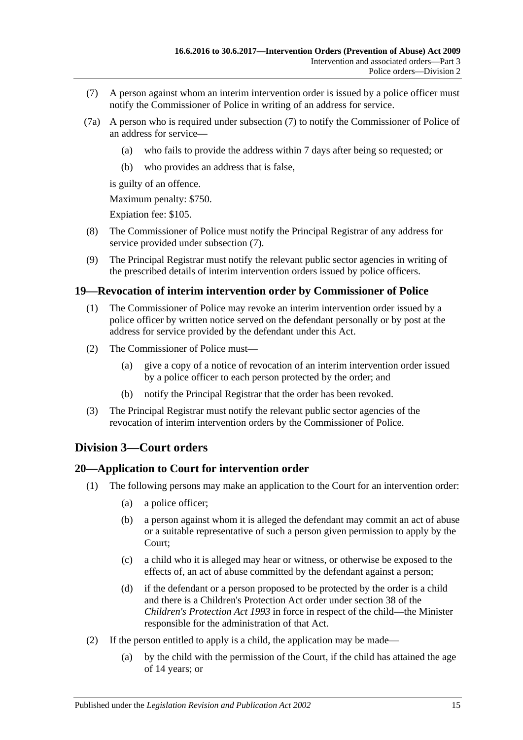- <span id="page-14-3"></span>(7) A person against whom an interim intervention order is issued by a police officer must notify the Commissioner of Police in writing of an address for service.
- (7a) A person who is required under [subsection](#page-14-3) (7) to notify the Commissioner of Police of an address for service—
	- (a) who fails to provide the address within 7 days after being so requested; or
	- (b) who provides an address that is false,

is guilty of an offence.

Maximum penalty: \$750.

Expiation fee: \$105.

- (8) The Commissioner of Police must notify the Principal Registrar of any address for service provided under [subsection](#page-14-3) (7).
- (9) The Principal Registrar must notify the relevant public sector agencies in writing of the prescribed details of interim intervention orders issued by police officers.

#### <span id="page-14-0"></span>**19—Revocation of interim intervention order by Commissioner of Police**

- (1) The Commissioner of Police may revoke an interim intervention order issued by a police officer by written notice served on the defendant personally or by post at the address for service provided by the defendant under this Act.
- (2) The Commissioner of Police must—
	- (a) give a copy of a notice of revocation of an interim intervention order issued by a police officer to each person protected by the order; and
	- (b) notify the Principal Registrar that the order has been revoked.
- (3) The Principal Registrar must notify the relevant public sector agencies of the revocation of interim intervention orders by the Commissioner of Police.

## <span id="page-14-1"></span>**Division 3—Court orders**

#### <span id="page-14-2"></span>**20—Application to Court for intervention order**

- (1) The following persons may make an application to the Court for an intervention order:
	- (a) a police officer;
	- (b) a person against whom it is alleged the defendant may commit an act of abuse or a suitable representative of such a person given permission to apply by the Court;
	- (c) a child who it is alleged may hear or witness, or otherwise be exposed to the effects of, an act of abuse committed by the defendant against a person;
	- (d) if the defendant or a person proposed to be protected by the order is a child and there is a Children's Protection Act order under section 38 of the *[Children's Protection Act](http://www.legislation.sa.gov.au/index.aspx?action=legref&type=act&legtitle=Childrens%20Protection%20Act%201993) 1993* in force in respect of the child—the Minister responsible for the administration of that Act.
- (2) If the person entitled to apply is a child, the application may be made—
	- (a) by the child with the permission of the Court, if the child has attained the age of 14 years; or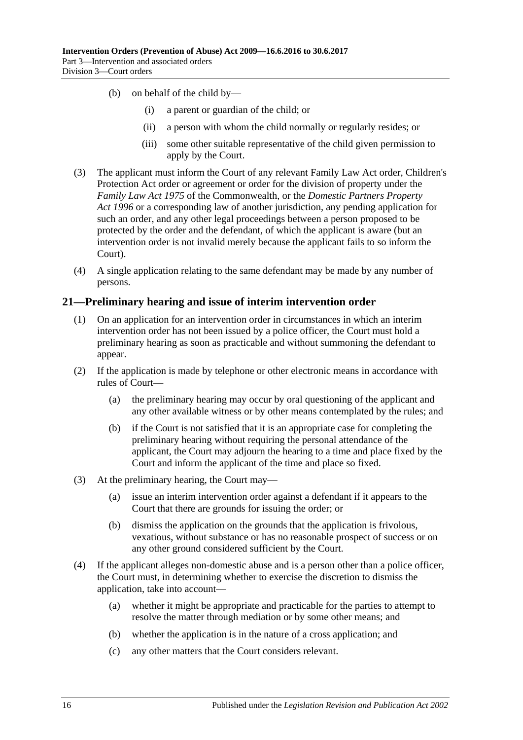- (b) on behalf of the child by—
	- (i) a parent or guardian of the child; or
	- (ii) a person with whom the child normally or regularly resides; or
	- (iii) some other suitable representative of the child given permission to apply by the Court.
- (3) The applicant must inform the Court of any relevant Family Law Act order, Children's Protection Act order or agreement or order for the division of property under the *Family Law Act 1975* of the Commonwealth, or the *[Domestic Partners Property](http://www.legislation.sa.gov.au/index.aspx?action=legref&type=act&legtitle=Domestic%20Partners%20Property%20Act%201996)  Act [1996](http://www.legislation.sa.gov.au/index.aspx?action=legref&type=act&legtitle=Domestic%20Partners%20Property%20Act%201996)* or a corresponding law of another jurisdiction, any pending application for such an order, and any other legal proceedings between a person proposed to be protected by the order and the defendant, of which the applicant is aware (but an intervention order is not invalid merely because the applicant fails to so inform the Court).
- (4) A single application relating to the same defendant may be made by any number of persons.

#### <span id="page-15-0"></span>**21—Preliminary hearing and issue of interim intervention order**

- (1) On an application for an intervention order in circumstances in which an interim intervention order has not been issued by a police officer, the Court must hold a preliminary hearing as soon as practicable and without summoning the defendant to appear.
- (2) If the application is made by telephone or other electronic means in accordance with rules of Court—
	- (a) the preliminary hearing may occur by oral questioning of the applicant and any other available witness or by other means contemplated by the rules; and
	- (b) if the Court is not satisfied that it is an appropriate case for completing the preliminary hearing without requiring the personal attendance of the applicant, the Court may adjourn the hearing to a time and place fixed by the Court and inform the applicant of the time and place so fixed.
- (3) At the preliminary hearing, the Court may—
	- (a) issue an interim intervention order against a defendant if it appears to the Court that there are grounds for issuing the order; or
	- (b) dismiss the application on the grounds that the application is frivolous, vexatious, without substance or has no reasonable prospect of success or on any other ground considered sufficient by the Court.
- (4) If the applicant alleges non-domestic abuse and is a person other than a police officer, the Court must, in determining whether to exercise the discretion to dismiss the application, take into account—
	- (a) whether it might be appropriate and practicable for the parties to attempt to resolve the matter through mediation or by some other means; and
	- (b) whether the application is in the nature of a cross application; and
	- (c) any other matters that the Court considers relevant.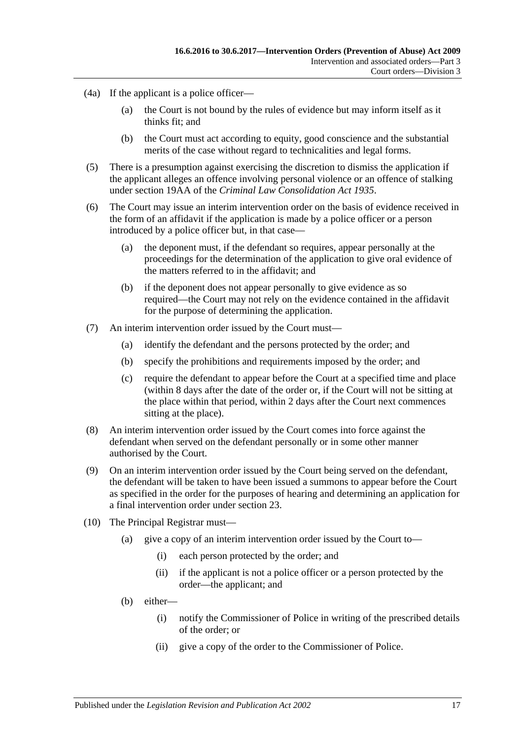- (4a) If the applicant is a police officer—
	- (a) the Court is not bound by the rules of evidence but may inform itself as it thinks fit; and
	- (b) the Court must act according to equity, good conscience and the substantial merits of the case without regard to technicalities and legal forms.
- (5) There is a presumption against exercising the discretion to dismiss the application if the applicant alleges an offence involving personal violence or an offence of stalking under section 19AA of the *[Criminal Law Consolidation Act](http://www.legislation.sa.gov.au/index.aspx?action=legref&type=act&legtitle=Criminal%20Law%20Consolidation%20Act%201935) 1935*.
- (6) The Court may issue an interim intervention order on the basis of evidence received in the form of an affidavit if the application is made by a police officer or a person introduced by a police officer but, in that case—
	- (a) the deponent must, if the defendant so requires, appear personally at the proceedings for the determination of the application to give oral evidence of the matters referred to in the affidavit; and
	- (b) if the deponent does not appear personally to give evidence as so required—the Court may not rely on the evidence contained in the affidavit for the purpose of determining the application.
- (7) An interim intervention order issued by the Court must—
	- (a) identify the defendant and the persons protected by the order; and
	- (b) specify the prohibitions and requirements imposed by the order; and
	- (c) require the defendant to appear before the Court at a specified time and place (within 8 days after the date of the order or, if the Court will not be sitting at the place within that period, within 2 days after the Court next commences sitting at the place).
- (8) An interim intervention order issued by the Court comes into force against the defendant when served on the defendant personally or in some other manner authorised by the Court.
- (9) On an interim intervention order issued by the Court being served on the defendant, the defendant will be taken to have been issued a summons to appear before the Court as specified in the order for the purposes of hearing and determining an application for a final intervention order under [section](#page-17-1) 23.
- (10) The Principal Registrar must—
	- (a) give a copy of an interim intervention order issued by the Court to—
		- (i) each person protected by the order; and
		- (ii) if the applicant is not a police officer or a person protected by the order—the applicant; and
	- (b) either—
		- (i) notify the Commissioner of Police in writing of the prescribed details of the order; or
		- (ii) give a copy of the order to the Commissioner of Police.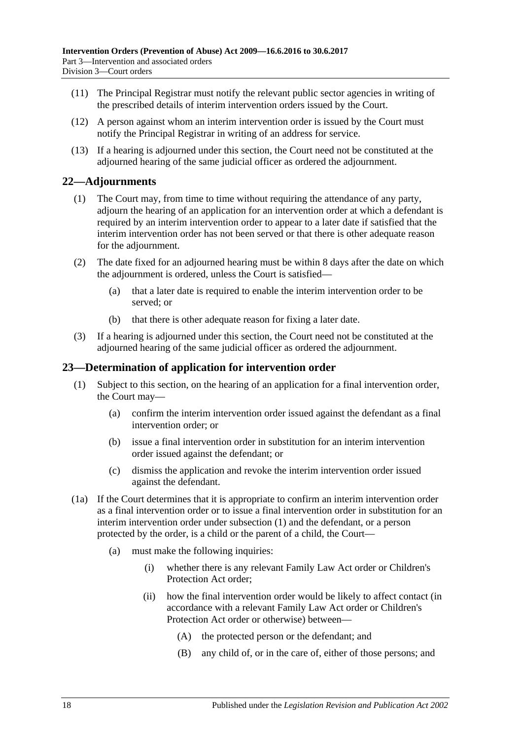- (11) The Principal Registrar must notify the relevant public sector agencies in writing of the prescribed details of interim intervention orders issued by the Court.
- (12) A person against whom an interim intervention order is issued by the Court must notify the Principal Registrar in writing of an address for service.
- (13) If a hearing is adjourned under this section, the Court need not be constituted at the adjourned hearing of the same judicial officer as ordered the adjournment.

## <span id="page-17-0"></span>**22—Adjournments**

- (1) The Court may, from time to time without requiring the attendance of any party, adjourn the hearing of an application for an intervention order at which a defendant is required by an interim intervention order to appear to a later date if satisfied that the interim intervention order has not been served or that there is other adequate reason for the adjournment.
- (2) The date fixed for an adjourned hearing must be within 8 days after the date on which the adjournment is ordered, unless the Court is satisfied—
	- (a) that a later date is required to enable the interim intervention order to be served; or
	- (b) that there is other adequate reason for fixing a later date.
- (3) If a hearing is adjourned under this section, the Court need not be constituted at the adjourned hearing of the same judicial officer as ordered the adjournment.

#### <span id="page-17-2"></span><span id="page-17-1"></span>**23—Determination of application for intervention order**

- (1) Subject to this section, on the hearing of an application for a final intervention order, the Court may—
	- (a) confirm the interim intervention order issued against the defendant as a final intervention order; or
	- (b) issue a final intervention order in substitution for an interim intervention order issued against the defendant; or
	- (c) dismiss the application and revoke the interim intervention order issued against the defendant.
- (1a) If the Court determines that it is appropriate to confirm an interim intervention order as a final intervention order or to issue a final intervention order in substitution for an interim intervention order under [subsection](#page-17-2) (1) and the defendant, or a person protected by the order, is a child or the parent of a child, the Court—
	- (a) must make the following inquiries:
		- (i) whether there is any relevant Family Law Act order or Children's Protection Act order;
		- (ii) how the final intervention order would be likely to affect contact (in accordance with a relevant Family Law Act order or Children's Protection Act order or otherwise) between—
			- (A) the protected person or the defendant; and
			- (B) any child of, or in the care of, either of those persons; and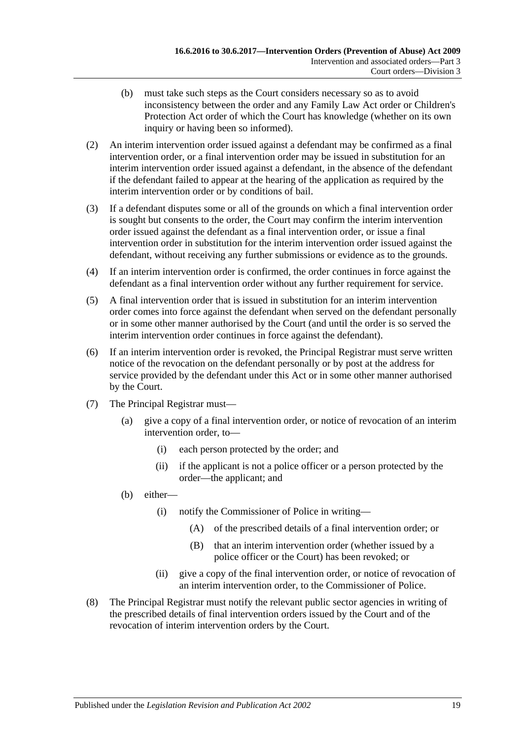- (b) must take such steps as the Court considers necessary so as to avoid inconsistency between the order and any Family Law Act order or Children's Protection Act order of which the Court has knowledge (whether on its own inquiry or having been so informed).
- (2) An interim intervention order issued against a defendant may be confirmed as a final intervention order, or a final intervention order may be issued in substitution for an interim intervention order issued against a defendant, in the absence of the defendant if the defendant failed to appear at the hearing of the application as required by the interim intervention order or by conditions of bail.
- (3) If a defendant disputes some or all of the grounds on which a final intervention order is sought but consents to the order, the Court may confirm the interim intervention order issued against the defendant as a final intervention order, or issue a final intervention order in substitution for the interim intervention order issued against the defendant, without receiving any further submissions or evidence as to the grounds.
- (4) If an interim intervention order is confirmed, the order continues in force against the defendant as a final intervention order without any further requirement for service.
- (5) A final intervention order that is issued in substitution for an interim intervention order comes into force against the defendant when served on the defendant personally or in some other manner authorised by the Court (and until the order is so served the interim intervention order continues in force against the defendant).
- (6) If an interim intervention order is revoked, the Principal Registrar must serve written notice of the revocation on the defendant personally or by post at the address for service provided by the defendant under this Act or in some other manner authorised by the Court.
- (7) The Principal Registrar must—
	- (a) give a copy of a final intervention order, or notice of revocation of an interim intervention order, to—
		- (i) each person protected by the order; and
		- (ii) if the applicant is not a police officer or a person protected by the order—the applicant; and
	- (b) either—
		- (i) notify the Commissioner of Police in writing—
			- (A) of the prescribed details of a final intervention order; or
			- (B) that an interim intervention order (whether issued by a police officer or the Court) has been revoked; or
		- (ii) give a copy of the final intervention order, or notice of revocation of an interim intervention order, to the Commissioner of Police.
- (8) The Principal Registrar must notify the relevant public sector agencies in writing of the prescribed details of final intervention orders issued by the Court and of the revocation of interim intervention orders by the Court.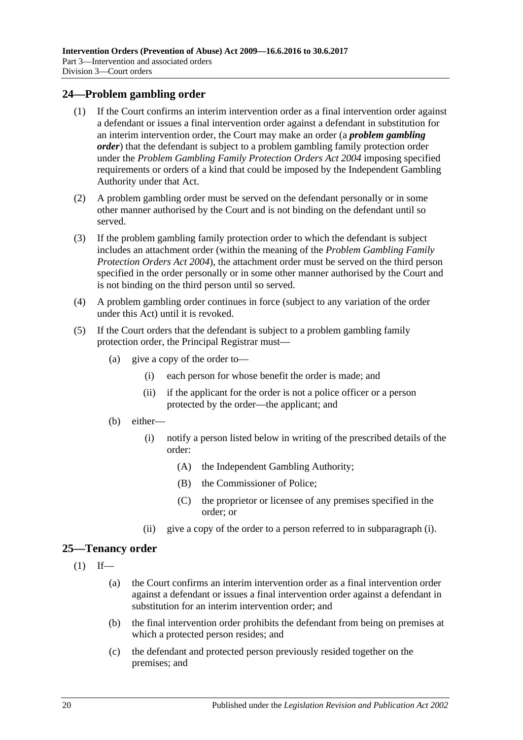## <span id="page-19-0"></span>**24—Problem gambling order**

- (1) If the Court confirms an interim intervention order as a final intervention order against a defendant or issues a final intervention order against a defendant in substitution for an interim intervention order, the Court may make an order (a *problem gambling order*) that the defendant is subject to a problem gambling family protection order under the *[Problem Gambling Family Protection Orders Act](http://www.legislation.sa.gov.au/index.aspx?action=legref&type=act&legtitle=Problem%20Gambling%20Family%20Protection%20Orders%20Act%202004) 2004* imposing specified requirements or orders of a kind that could be imposed by the Independent Gambling Authority under that Act.
- (2) A problem gambling order must be served on the defendant personally or in some other manner authorised by the Court and is not binding on the defendant until so served.
- (3) If the problem gambling family protection order to which the defendant is subject includes an attachment order (within the meaning of the *[Problem Gambling Family](http://www.legislation.sa.gov.au/index.aspx?action=legref&type=act&legtitle=Problem%20Gambling%20Family%20Protection%20Orders%20Act%202004)  [Protection Orders Act](http://www.legislation.sa.gov.au/index.aspx?action=legref&type=act&legtitle=Problem%20Gambling%20Family%20Protection%20Orders%20Act%202004) 2004*), the attachment order must be served on the third person specified in the order personally or in some other manner authorised by the Court and is not binding on the third person until so served.
- (4) A problem gambling order continues in force (subject to any variation of the order under this Act) until it is revoked.
- <span id="page-19-2"></span>(5) If the Court orders that the defendant is subject to a problem gambling family protection order, the Principal Registrar must—
	- (a) give a copy of the order to—
		- (i) each person for whose benefit the order is made; and
		- (ii) if the applicant for the order is not a police officer or a person protected by the order—the applicant; and
	- (b) either—
		- (i) notify a person listed below in writing of the prescribed details of the order:
			- (A) the Independent Gambling Authority;
			- (B) the Commissioner of Police;
			- (C) the proprietor or licensee of any premises specified in the order; or
		- (ii) give a copy of the order to a person referred to in [subparagraph](#page-19-2) (i).

## <span id="page-19-1"></span>**25—Tenancy order**

- $(1)$  If—
	- (a) the Court confirms an interim intervention order as a final intervention order against a defendant or issues a final intervention order against a defendant in substitution for an interim intervention order; and
	- (b) the final intervention order prohibits the defendant from being on premises at which a protected person resides; and
	- (c) the defendant and protected person previously resided together on the premises; and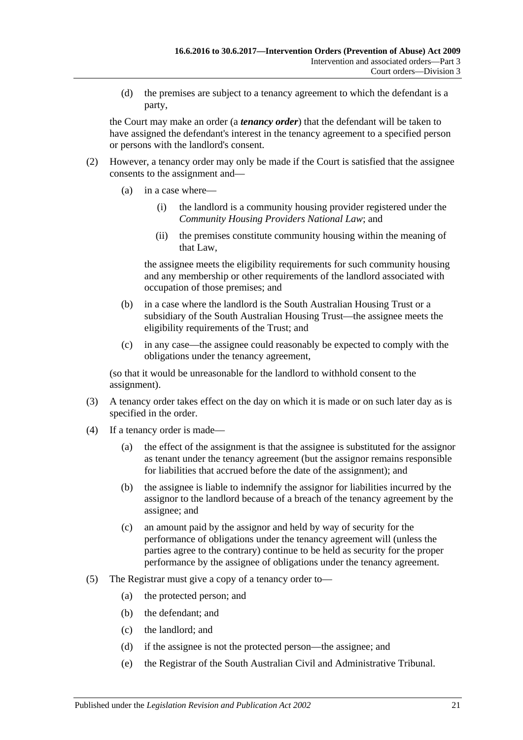(d) the premises are subject to a tenancy agreement to which the defendant is a party,

the Court may make an order (a *tenancy order*) that the defendant will be taken to have assigned the defendant's interest in the tenancy agreement to a specified person or persons with the landlord's consent.

- (2) However, a tenancy order may only be made if the Court is satisfied that the assignee consents to the assignment and—
	- (a) in a case where—
		- (i) the landlord is a community housing provider registered under the *Community Housing Providers National Law*; and
		- (ii) the premises constitute community housing within the meaning of that Law,

the assignee meets the eligibility requirements for such community housing and any membership or other requirements of the landlord associated with occupation of those premises; and

- (b) in a case where the landlord is the South Australian Housing Trust or a subsidiary of the South Australian Housing Trust—the assignee meets the eligibility requirements of the Trust; and
- (c) in any case—the assignee could reasonably be expected to comply with the obligations under the tenancy agreement,

(so that it would be unreasonable for the landlord to withhold consent to the assignment).

- (3) A tenancy order takes effect on the day on which it is made or on such later day as is specified in the order.
- (4) If a tenancy order is made—
	- (a) the effect of the assignment is that the assignee is substituted for the assignor as tenant under the tenancy agreement (but the assignor remains responsible for liabilities that accrued before the date of the assignment); and
	- (b) the assignee is liable to indemnify the assignor for liabilities incurred by the assignor to the landlord because of a breach of the tenancy agreement by the assignee; and
	- (c) an amount paid by the assignor and held by way of security for the performance of obligations under the tenancy agreement will (unless the parties agree to the contrary) continue to be held as security for the proper performance by the assignee of obligations under the tenancy agreement.
- (5) The Registrar must give a copy of a tenancy order to—
	- (a) the protected person; and
	- (b) the defendant; and
	- (c) the landlord; and
	- (d) if the assignee is not the protected person—the assignee; and
	- (e) the Registrar of the South Australian Civil and Administrative Tribunal.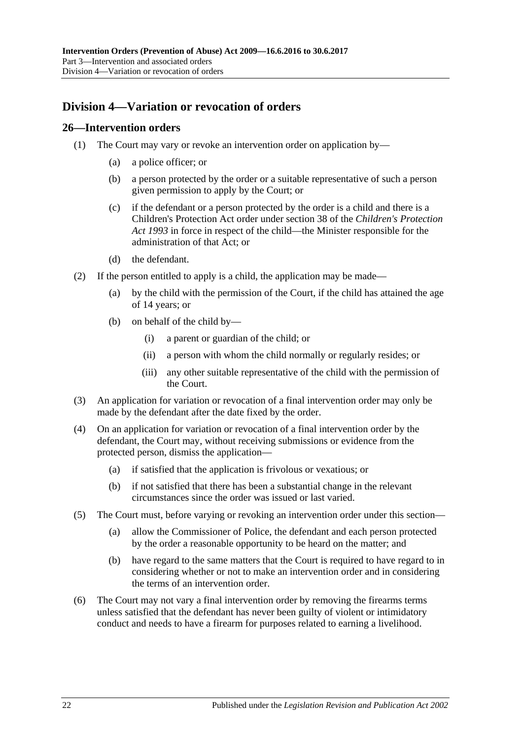## <span id="page-21-0"></span>**Division 4—Variation or revocation of orders**

### <span id="page-21-1"></span>**26—Intervention orders**

- (1) The Court may vary or revoke an intervention order on application by—
	- (a) a police officer; or
	- (b) a person protected by the order or a suitable representative of such a person given permission to apply by the Court; or
	- (c) if the defendant or a person protected by the order is a child and there is a Children's Protection Act order under section 38 of the *[Children's Protection](http://www.legislation.sa.gov.au/index.aspx?action=legref&type=act&legtitle=Childrens%20Protection%20Act%201993)  Act [1993](http://www.legislation.sa.gov.au/index.aspx?action=legref&type=act&legtitle=Childrens%20Protection%20Act%201993)* in force in respect of the child—the Minister responsible for the administration of that Act; or
	- (d) the defendant.
- (2) If the person entitled to apply is a child, the application may be made—
	- (a) by the child with the permission of the Court, if the child has attained the age of 14 years; or
	- (b) on behalf of the child by—
		- (i) a parent or guardian of the child; or
		- (ii) a person with whom the child normally or regularly resides; or
		- (iii) any other suitable representative of the child with the permission of the Court.
- (3) An application for variation or revocation of a final intervention order may only be made by the defendant after the date fixed by the order.
- (4) On an application for variation or revocation of a final intervention order by the defendant, the Court may, without receiving submissions or evidence from the protected person, dismiss the application—
	- (a) if satisfied that the application is frivolous or vexatious; or
	- (b) if not satisfied that there has been a substantial change in the relevant circumstances since the order was issued or last varied.
- (5) The Court must, before varying or revoking an intervention order under this section—
	- (a) allow the Commissioner of Police, the defendant and each person protected by the order a reasonable opportunity to be heard on the matter; and
	- (b) have regard to the same matters that the Court is required to have regard to in considering whether or not to make an intervention order and in considering the terms of an intervention order.
- (6) The Court may not vary a final intervention order by removing the firearms terms unless satisfied that the defendant has never been guilty of violent or intimidatory conduct and needs to have a firearm for purposes related to earning a livelihood.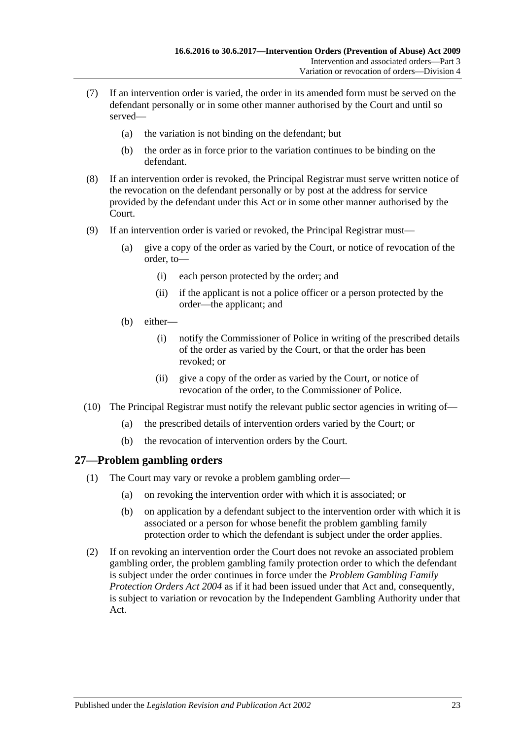- (7) If an intervention order is varied, the order in its amended form must be served on the defendant personally or in some other manner authorised by the Court and until so served—
	- (a) the variation is not binding on the defendant; but
	- (b) the order as in force prior to the variation continues to be binding on the defendant.
- (8) If an intervention order is revoked, the Principal Registrar must serve written notice of the revocation on the defendant personally or by post at the address for service provided by the defendant under this Act or in some other manner authorised by the Court.
- (9) If an intervention order is varied or revoked, the Principal Registrar must—
	- (a) give a copy of the order as varied by the Court, or notice of revocation of the order, to—
		- (i) each person protected by the order; and
		- (ii) if the applicant is not a police officer or a person protected by the order—the applicant; and
	- (b) either—
		- (i) notify the Commissioner of Police in writing of the prescribed details of the order as varied by the Court, or that the order has been revoked; or
		- (ii) give a copy of the order as varied by the Court, or notice of revocation of the order, to the Commissioner of Police.
- (10) The Principal Registrar must notify the relevant public sector agencies in writing of—
	- (a) the prescribed details of intervention orders varied by the Court; or
	- (b) the revocation of intervention orders by the Court.

## <span id="page-22-0"></span>**27—Problem gambling orders**

- (1) The Court may vary or revoke a problem gambling order—
	- (a) on revoking the intervention order with which it is associated; or
	- (b) on application by a defendant subject to the intervention order with which it is associated or a person for whose benefit the problem gambling family protection order to which the defendant is subject under the order applies.
- (2) If on revoking an intervention order the Court does not revoke an associated problem gambling order, the problem gambling family protection order to which the defendant is subject under the order continues in force under the *[Problem Gambling Family](http://www.legislation.sa.gov.au/index.aspx?action=legref&type=act&legtitle=Problem%20Gambling%20Family%20Protection%20Orders%20Act%202004)  [Protection Orders Act](http://www.legislation.sa.gov.au/index.aspx?action=legref&type=act&legtitle=Problem%20Gambling%20Family%20Protection%20Orders%20Act%202004) 2004* as if it had been issued under that Act and, consequently, is subject to variation or revocation by the Independent Gambling Authority under that Act.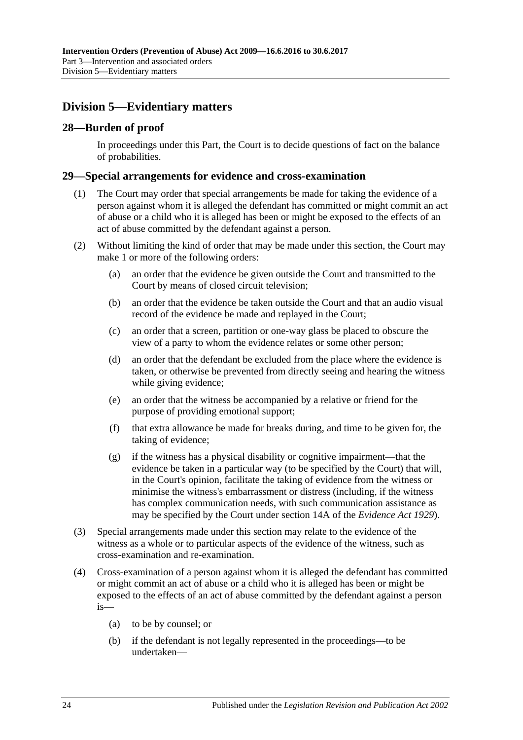## <span id="page-23-0"></span>**Division 5—Evidentiary matters**

## <span id="page-23-1"></span>**28—Burden of proof**

In proceedings under this Part, the Court is to decide questions of fact on the balance of probabilities.

### <span id="page-23-2"></span>**29—Special arrangements for evidence and cross-examination**

- (1) The Court may order that special arrangements be made for taking the evidence of a person against whom it is alleged the defendant has committed or might commit an act of abuse or a child who it is alleged has been or might be exposed to the effects of an act of abuse committed by the defendant against a person.
- (2) Without limiting the kind of order that may be made under this section, the Court may make 1 or more of the following orders:
	- (a) an order that the evidence be given outside the Court and transmitted to the Court by means of closed circuit television;
	- (b) an order that the evidence be taken outside the Court and that an audio visual record of the evidence be made and replayed in the Court;
	- (c) an order that a screen, partition or one-way glass be placed to obscure the view of a party to whom the evidence relates or some other person;
	- (d) an order that the defendant be excluded from the place where the evidence is taken, or otherwise be prevented from directly seeing and hearing the witness while giving evidence;
	- (e) an order that the witness be accompanied by a relative or friend for the purpose of providing emotional support;
	- (f) that extra allowance be made for breaks during, and time to be given for, the taking of evidence;
	- (g) if the witness has a physical disability or cognitive impairment—that the evidence be taken in a particular way (to be specified by the Court) that will, in the Court's opinion, facilitate the taking of evidence from the witness or minimise the witness's embarrassment or distress (including, if the witness has complex communication needs, with such communication assistance as may be specified by the Court under section 14A of the *[Evidence Act](http://www.legislation.sa.gov.au/index.aspx?action=legref&type=act&legtitle=Evidence%20Act%201929) 1929*).
- (3) Special arrangements made under this section may relate to the evidence of the witness as a whole or to particular aspects of the evidence of the witness, such as cross-examination and re-examination.
- (4) Cross-examination of a person against whom it is alleged the defendant has committed or might commit an act of abuse or a child who it is alleged has been or might be exposed to the effects of an act of abuse committed by the defendant against a person is—
	- (a) to be by counsel; or
	- (b) if the defendant is not legally represented in the proceedings—to be undertaken—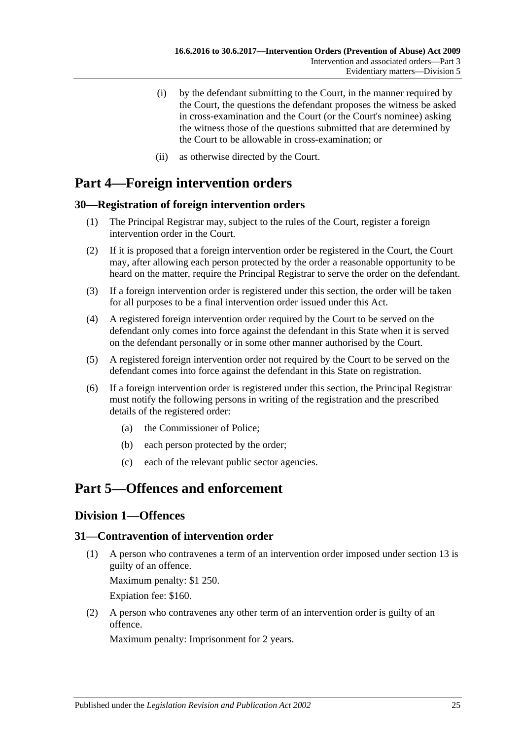- (i) by the defendant submitting to the Court, in the manner required by the Court, the questions the defendant proposes the witness be asked in cross-examination and the Court (or the Court's nominee) asking the witness those of the questions submitted that are determined by the Court to be allowable in cross-examination; or
- (ii) as otherwise directed by the Court.

## <span id="page-24-0"></span>**Part 4—Foreign intervention orders**

## <span id="page-24-1"></span>**30—Registration of foreign intervention orders**

- (1) The Principal Registrar may, subject to the rules of the Court, register a foreign intervention order in the Court.
- (2) If it is proposed that a foreign intervention order be registered in the Court, the Court may, after allowing each person protected by the order a reasonable opportunity to be heard on the matter, require the Principal Registrar to serve the order on the defendant.
- (3) If a foreign intervention order is registered under this section, the order will be taken for all purposes to be a final intervention order issued under this Act.
- (4) A registered foreign intervention order required by the Court to be served on the defendant only comes into force against the defendant in this State when it is served on the defendant personally or in some other manner authorised by the Court.
- (5) A registered foreign intervention order not required by the Court to be served on the defendant comes into force against the defendant in this State on registration.
- (6) If a foreign intervention order is registered under this section, the Principal Registrar must notify the following persons in writing of the registration and the prescribed details of the registered order:
	- (a) the Commissioner of Police;
	- (b) each person protected by the order;
	- (c) each of the relevant public sector agencies.

## <span id="page-24-3"></span><span id="page-24-2"></span>**Part 5—Offences and enforcement**

## **Division 1—Offences**

## <span id="page-24-5"></span><span id="page-24-4"></span>**31—Contravention of intervention order**

(1) A person who contravenes a term of an intervention order imposed under [section](#page-11-0) 13 is guilty of an offence.

Maximum penalty: \$1 250.

Expiation fee: \$160.

<span id="page-24-6"></span>(2) A person who contravenes any other term of an intervention order is guilty of an offence.

Maximum penalty: Imprisonment for 2 years.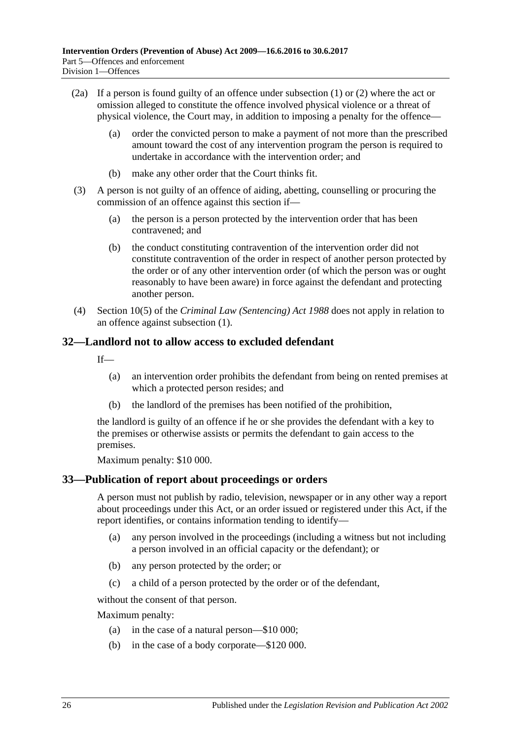- (2a) If a person is found guilty of an offence under [subsection](#page-24-5) (1) or [\(2\)](#page-24-6) where the act or omission alleged to constitute the offence involved physical violence or a threat of physical violence, the Court may, in addition to imposing a penalty for the offence—
	- (a) order the convicted person to make a payment of not more than the prescribed amount toward the cost of any intervention program the person is required to undertake in accordance with the intervention order; and
	- (b) make any other order that the Court thinks fit.
- (3) A person is not guilty of an offence of aiding, abetting, counselling or procuring the commission of an offence against this section if—
	- (a) the person is a person protected by the intervention order that has been contravened; and
	- (b) the conduct constituting contravention of the intervention order did not constitute contravention of the order in respect of another person protected by the order or of any other intervention order (of which the person was or ought reasonably to have been aware) in force against the defendant and protecting another person.
- (4) Section 10(5) of the *[Criminal Law \(Sentencing\) Act](http://www.legislation.sa.gov.au/index.aspx?action=legref&type=act&legtitle=Criminal%20Law%20(Sentencing)%20Act%201988) 1988* does not apply in relation to an offence against [subsection](#page-24-5) (1).

#### <span id="page-25-0"></span>**32—Landlord not to allow access to excluded defendant**

 $If$ —

- (a) an intervention order prohibits the defendant from being on rented premises at which a protected person resides; and
- (b) the landlord of the premises has been notified of the prohibition,

the landlord is guilty of an offence if he or she provides the defendant with a key to the premises or otherwise assists or permits the defendant to gain access to the premises.

Maximum penalty: \$10 000.

#### <span id="page-25-1"></span>**33—Publication of report about proceedings or orders**

A person must not publish by radio, television, newspaper or in any other way a report about proceedings under this Act, or an order issued or registered under this Act, if the report identifies, or contains information tending to identify—

- (a) any person involved in the proceedings (including a witness but not including a person involved in an official capacity or the defendant); or
- (b) any person protected by the order; or
- (c) a child of a person protected by the order or of the defendant,

without the consent of that person.

Maximum penalty:

- (a) in the case of a natural person—\$10 000;
- (b) in the case of a body corporate—\$120 000.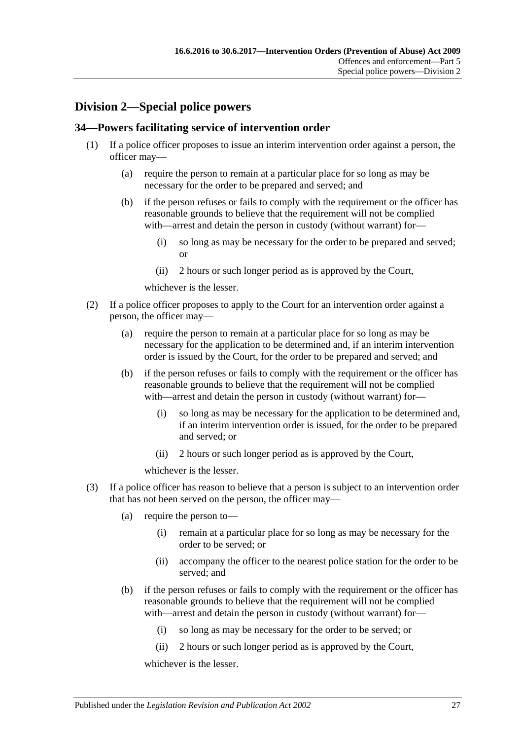## <span id="page-26-0"></span>**Division 2—Special police powers**

## <span id="page-26-1"></span>**34—Powers facilitating service of intervention order**

- (1) If a police officer proposes to issue an interim intervention order against a person, the officer may—
	- (a) require the person to remain at a particular place for so long as may be necessary for the order to be prepared and served; and
	- (b) if the person refuses or fails to comply with the requirement or the officer has reasonable grounds to believe that the requirement will not be complied with—arrest and detain the person in custody (without warrant) for—
		- (i) so long as may be necessary for the order to be prepared and served; or
		- (ii) 2 hours or such longer period as is approved by the Court,

whichever is the lesser.

- (2) If a police officer proposes to apply to the Court for an intervention order against a person, the officer may—
	- (a) require the person to remain at a particular place for so long as may be necessary for the application to be determined and, if an interim intervention order is issued by the Court, for the order to be prepared and served; and
	- (b) if the person refuses or fails to comply with the requirement or the officer has reasonable grounds to believe that the requirement will not be complied with—arrest and detain the person in custody (without warrant) for—
		- (i) so long as may be necessary for the application to be determined and, if an interim intervention order is issued, for the order to be prepared and served; or
		- (ii) 2 hours or such longer period as is approved by the Court,

whichever is the lesser.

- <span id="page-26-2"></span>(3) If a police officer has reason to believe that a person is subject to an intervention order that has not been served on the person, the officer may—
	- (a) require the person to—
		- (i) remain at a particular place for so long as may be necessary for the order to be served; or
		- (ii) accompany the officer to the nearest police station for the order to be served; and
	- (b) if the person refuses or fails to comply with the requirement or the officer has reasonable grounds to believe that the requirement will not be complied with—arrest and detain the person in custody (without warrant) for—
		- (i) so long as may be necessary for the order to be served; or
		- (ii) 2 hours or such longer period as is approved by the Court,

whichever is the lesser.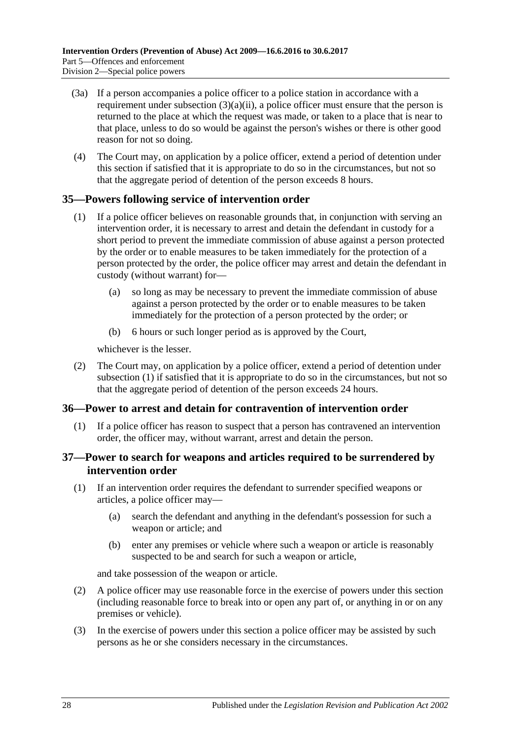- (3a) If a person accompanies a police officer to a police station in accordance with a requirement under [subsection](#page-26-2)  $(3)(a)(ii)$ , a police officer must ensure that the person is returned to the place at which the request was made, or taken to a place that is near to that place, unless to do so would be against the person's wishes or there is other good reason for not so doing.
- (4) The Court may, on application by a police officer, extend a period of detention under this section if satisfied that it is appropriate to do so in the circumstances, but not so that the aggregate period of detention of the person exceeds 8 hours.

## <span id="page-27-3"></span><span id="page-27-0"></span>**35—Powers following service of intervention order**

- (1) If a police officer believes on reasonable grounds that, in conjunction with serving an intervention order, it is necessary to arrest and detain the defendant in custody for a short period to prevent the immediate commission of abuse against a person protected by the order or to enable measures to be taken immediately for the protection of a person protected by the order, the police officer may arrest and detain the defendant in custody (without warrant) for—
	- (a) so long as may be necessary to prevent the immediate commission of abuse against a person protected by the order or to enable measures to be taken immediately for the protection of a person protected by the order; or
	- (b) 6 hours or such longer period as is approved by the Court,

whichever is the lesser.

(2) The Court may, on application by a police officer, extend a period of detention under [subsection](#page-27-3) (1) if satisfied that it is appropriate to do so in the circumstances, but not so that the aggregate period of detention of the person exceeds 24 hours.

## <span id="page-27-1"></span>**36—Power to arrest and detain for contravention of intervention order**

(1) If a police officer has reason to suspect that a person has contravened an intervention order, the officer may, without warrant, arrest and detain the person.

## <span id="page-27-2"></span>**37—Power to search for weapons and articles required to be surrendered by intervention order**

- (1) If an intervention order requires the defendant to surrender specified weapons or articles, a police officer may—
	- (a) search the defendant and anything in the defendant's possession for such a weapon or article; and
	- (b) enter any premises or vehicle where such a weapon or article is reasonably suspected to be and search for such a weapon or article,

and take possession of the weapon or article.

- (2) A police officer may use reasonable force in the exercise of powers under this section (including reasonable force to break into or open any part of, or anything in or on any premises or vehicle).
- (3) In the exercise of powers under this section a police officer may be assisted by such persons as he or she considers necessary in the circumstances.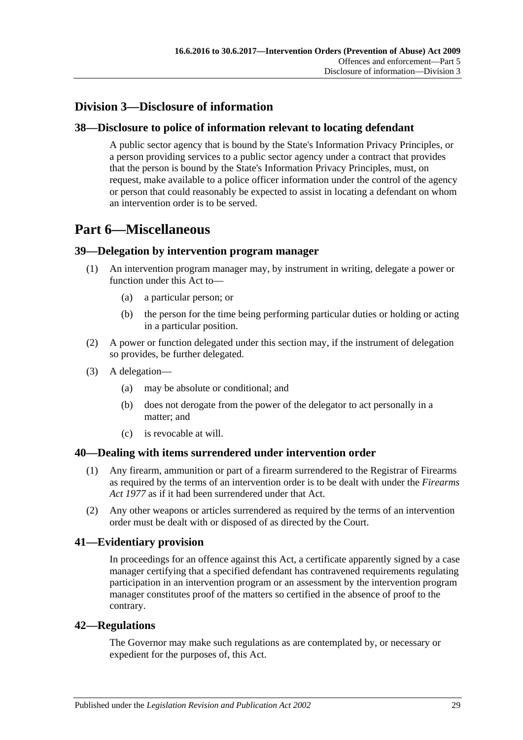## <span id="page-28-0"></span>**Division 3—Disclosure of information**

## <span id="page-28-1"></span>**38—Disclosure to police of information relevant to locating defendant**

A public sector agency that is bound by the State's Information Privacy Principles, or a person providing services to a public sector agency under a contract that provides that the person is bound by the State's Information Privacy Principles, must, on request, make available to a police officer information under the control of the agency or person that could reasonably be expected to assist in locating a defendant on whom an intervention order is to be served.

## <span id="page-28-2"></span>**Part 6—Miscellaneous**

## <span id="page-28-3"></span>**39—Delegation by intervention program manager**

- (1) An intervention program manager may, by instrument in writing, delegate a power or function under this Act to—
	- (a) a particular person; or
	- (b) the person for the time being performing particular duties or holding or acting in a particular position.
- (2) A power or function delegated under this section may, if the instrument of delegation so provides, be further delegated.
- (3) A delegation—
	- (a) may be absolute or conditional; and
	- (b) does not derogate from the power of the delegator to act personally in a matter; and
	- (c) is revocable at will.

## <span id="page-28-4"></span>**40—Dealing with items surrendered under intervention order**

- (1) Any firearm, ammunition or part of a firearm surrendered to the Registrar of Firearms as required by the terms of an intervention order is to be dealt with under the *[Firearms](http://www.legislation.sa.gov.au/index.aspx?action=legref&type=act&legtitle=Firearms%20Act%201977)  Act [1977](http://www.legislation.sa.gov.au/index.aspx?action=legref&type=act&legtitle=Firearms%20Act%201977)* as if it had been surrendered under that Act.
- (2) Any other weapons or articles surrendered as required by the terms of an intervention order must be dealt with or disposed of as directed by the Court.

## <span id="page-28-5"></span>**41—Evidentiary provision**

In proceedings for an offence against this Act, a certificate apparently signed by a case manager certifying that a specified defendant has contravened requirements regulating participation in an intervention program or an assessment by the intervention program manager constitutes proof of the matters so certified in the absence of proof to the contrary.

## <span id="page-28-6"></span>**42—Regulations**

The Governor may make such regulations as are contemplated by, or necessary or expedient for the purposes of, this Act.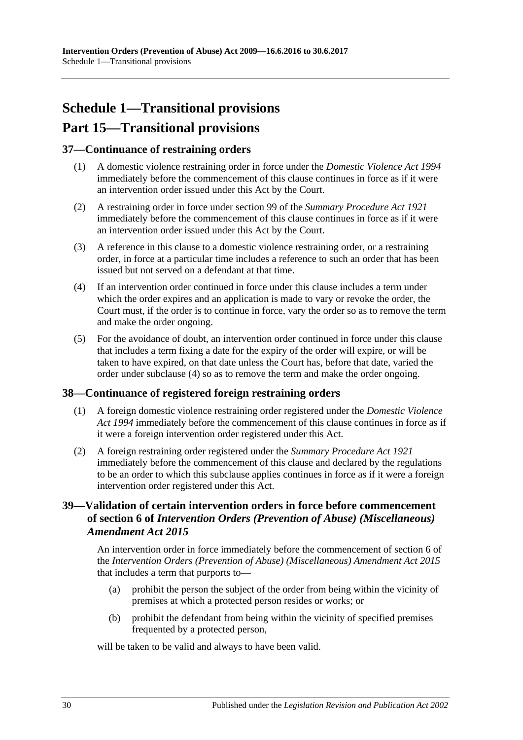# <span id="page-29-0"></span>**Schedule 1—Transitional provisions Part 15—Transitional provisions**

## <span id="page-29-1"></span>**37—Continuance of restraining orders**

- (1) A domestic violence restraining order in force under the *[Domestic Violence Act](http://www.legislation.sa.gov.au/index.aspx?action=legref&type=act&legtitle=Domestic%20Violence%20Act%201994) 1994* immediately before the commencement of this clause continues in force as if it were an intervention order issued under this Act by the Court.
- (2) A restraining order in force under section 99 of the *[Summary Procedure Act](http://www.legislation.sa.gov.au/index.aspx?action=legref&type=act&legtitle=Summary%20Procedure%20Act%201921) 1921* immediately before the commencement of this clause continues in force as if it were an intervention order issued under this Act by the Court.
- (3) A reference in this clause to a domestic violence restraining order, or a restraining order, in force at a particular time includes a reference to such an order that has been issued but not served on a defendant at that time.
- <span id="page-29-4"></span>(4) If an intervention order continued in force under this clause includes a term under which the order expires and an application is made to vary or revoke the order, the Court must, if the order is to continue in force, vary the order so as to remove the term and make the order ongoing.
- (5) For the avoidance of doubt, an intervention order continued in force under this clause that includes a term fixing a date for the expiry of the order will expire, or will be taken to have expired, on that date unless the Court has, before that date, varied the order under [subclause](#page-29-4) (4) so as to remove the term and make the order ongoing.

## <span id="page-29-2"></span>**38—Continuance of registered foreign restraining orders**

- (1) A foreign domestic violence restraining order registered under the *[Domestic Violence](http://www.legislation.sa.gov.au/index.aspx?action=legref&type=act&legtitle=Domestic%20Violence%20Act%201994)  Act [1994](http://www.legislation.sa.gov.au/index.aspx?action=legref&type=act&legtitle=Domestic%20Violence%20Act%201994)* immediately before the commencement of this clause continues in force as if it were a foreign intervention order registered under this Act.
- (2) A foreign restraining order registered under the *[Summary Procedure Act](http://www.legislation.sa.gov.au/index.aspx?action=legref&type=act&legtitle=Summary%20Procedure%20Act%201921) 1921* immediately before the commencement of this clause and declared by the regulations to be an order to which this subclause applies continues in force as if it were a foreign intervention order registered under this Act.

## <span id="page-29-3"></span>**39—Validation of certain intervention orders in force before commencement of section 6 of** *Intervention Orders (Prevention of Abuse) (Miscellaneous) Amendment Act 2015*

An intervention order in force immediately before the commencement of section 6 of the *[Intervention Orders \(Prevention of Abuse\) \(Miscellaneous\) Amendment Act](http://www.legislation.sa.gov.au/index.aspx?action=legref&type=act&legtitle=Intervention%20Orders%20(Prevention%20of%20Abuse)%20(Miscellaneous)%20Amendment%20Act%202015) 2015* that includes a term that purports to—

- (a) prohibit the person the subject of the order from being within the vicinity of premises at which a protected person resides or works; or
- (b) prohibit the defendant from being within the vicinity of specified premises frequented by a protected person,

will be taken to be valid and always to have been valid.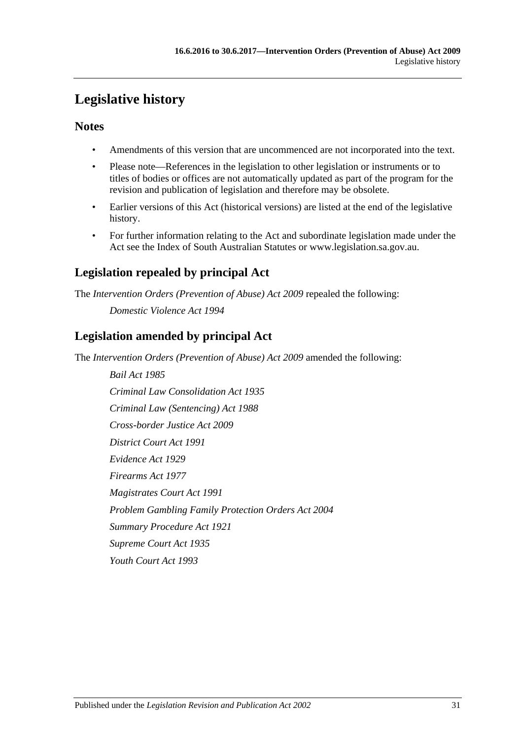# <span id="page-30-0"></span>**Legislative history**

## **Notes**

- Amendments of this version that are uncommenced are not incorporated into the text.
- Please note—References in the legislation to other legislation or instruments or to titles of bodies or offices are not automatically updated as part of the program for the revision and publication of legislation and therefore may be obsolete.
- Earlier versions of this Act (historical versions) are listed at the end of the legislative history.
- For further information relating to the Act and subordinate legislation made under the Act see the Index of South Australian Statutes or www.legislation.sa.gov.au.

## **Legislation repealed by principal Act**

The *Intervention Orders (Prevention of Abuse) Act 2009* repealed the following:

*Domestic Violence Act 1994*

## **Legislation amended by principal Act**

The *Intervention Orders (Prevention of Abuse) Act 2009* amended the following:

*Bail Act 1985 Criminal Law Consolidation Act 1935 Criminal Law (Sentencing) Act 1988 Cross-border Justice Act 2009 District Court Act 1991 Evidence Act 1929 Firearms Act 1977 Magistrates Court Act 1991 Problem Gambling Family Protection Orders Act 2004 Summary Procedure Act 1921 Supreme Court Act 1935 Youth Court Act 1993*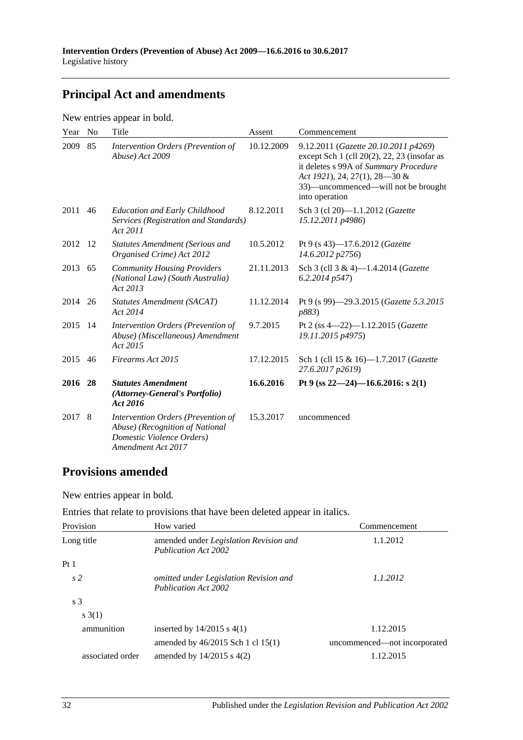## **Principal Act and amendments**

New entries appear in bold.

| Year    | N <sub>o</sub> | Title                                                                                                                    | Assent     | Commencement                                                                                                                                                                                                           |
|---------|----------------|--------------------------------------------------------------------------------------------------------------------------|------------|------------------------------------------------------------------------------------------------------------------------------------------------------------------------------------------------------------------------|
| 2009    | 85             | Intervention Orders (Prevention of<br>Abuse) Act 2009                                                                    | 10.12.2009 | 9.12.2011 (Gazette 20.10.2011 p4269)<br>except Sch 1 (cll 20(2), 22, 23 (insofar as<br>it deletes s 99A of Summary Procedure<br>Act 1921), 24, 27(1), 28–30 &<br>33)-uncommenced-will not be brought<br>into operation |
| 2011    | 46             | <b>Education and Early Childhood</b><br>Services (Registration and Standards)<br>Act 2011                                | 8.12.2011  | Sch 3 (cl 20)-1.1.2012 (Gazette<br>15.12.2011 p4986)                                                                                                                                                                   |
| 2012    | -12            | <b>Statutes Amendment (Serious and</b><br>Organised Crime) Act 2012                                                      | 10.5.2012  | Pt 9 (s 43)-17.6.2012 ( <i>Gazette</i><br>14.6.2012 p2756)                                                                                                                                                             |
| 2013    | 65             | <b>Community Housing Providers</b><br>(National Law) (South Australia)<br>Act 2013                                       | 21.11.2013 | Sch 3 (cll 3 & 4)-1.4.2014 (Gazette<br>6.2.2014p547                                                                                                                                                                    |
| 2014 26 |                | Statutes Amendment (SACAT)<br>Act 2014                                                                                   | 11.12.2014 | Pt 9 (s 99)-29.3.2015 (Gazette 5.3.2015<br>p883)                                                                                                                                                                       |
| 2015    | -14            | Intervention Orders (Prevention of<br>Abuse) (Miscellaneous) Amendment<br>Act 2015                                       | 9.7.2015   | Pt 2 (ss $4-22$ )-1.12.2015 ( <i>Gazette</i><br>19.11.2015 p4975)                                                                                                                                                      |
| 2015    | 46             | Firearms Act 2015                                                                                                        | 17.12.2015 | Sch 1 (cll 15 & 16)-1.7.2017 (Gazette<br>27.6.2017 p2619)                                                                                                                                                              |
| 2016    | 28             | <b>Statutes Amendment</b><br>(Attorney-General's Portfolio)<br>Act 2016                                                  | 16.6.2016  | Pt 9 (ss $22-24$ )-16.6.2016: s 2(1)                                                                                                                                                                                   |
| 2017    | 8              | Intervention Orders (Prevention of<br>Abuse) (Recognition of National<br>Domestic Violence Orders)<br>Amendment Act 2017 | 15.3.2017  | uncommenced                                                                                                                                                                                                            |

## **Provisions amended**

New entries appear in bold.

|  |  | Entries that relate to provisions that have been deleted appear in italics. |
|--|--|-----------------------------------------------------------------------------|
|--|--|-----------------------------------------------------------------------------|

| Provision        | How varied                                                            | Commencement                 |
|------------------|-----------------------------------------------------------------------|------------------------------|
| Long title       | amended under Legislation Revision and<br>Publication Act 2002        | 1.1.2012                     |
| Pt <sub>1</sub>  |                                                                       |                              |
| s <sub>2</sub>   | omitted under Legislation Revision and<br><b>Publication Act 2002</b> | 1.1.2012                     |
| s <sub>3</sub>   |                                                                       |                              |
| s(3(1))          |                                                                       |                              |
| ammunition       | inserted by $14/2015$ s $4(1)$                                        | 1.12.2015                    |
|                  | amended by $46/2015$ Sch 1 cl 15(1)                                   | uncommenced—not incorporated |
| associated order | amended by $14/2015$ s $4(2)$                                         | 1.12.2015                    |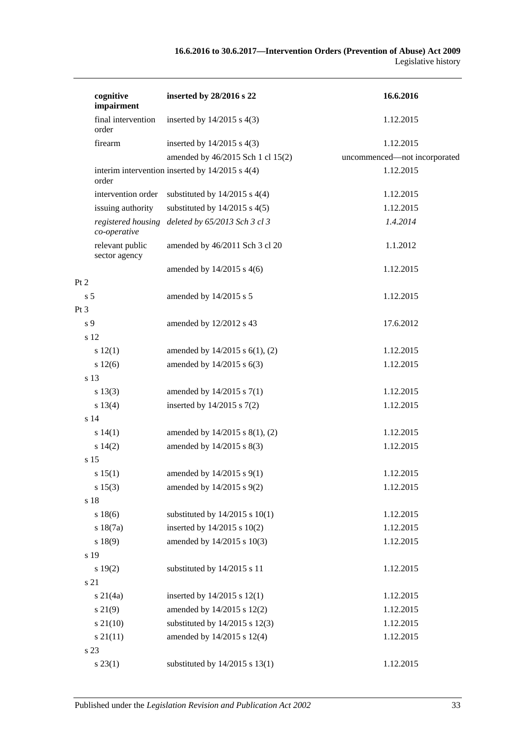| cognitive<br>impairment            | inserted by 28/2016 s 22                            | 16.6.2016                    |
|------------------------------------|-----------------------------------------------------|------------------------------|
| final intervention<br>order        | inserted by $14/2015$ s $4(3)$                      | 1.12.2015                    |
| firearm                            | inserted by $14/2015$ s $4(3)$                      | 1.12.2015                    |
|                                    | amended by 46/2015 Sch 1 cl 15(2)                   | uncommenced-not incorporated |
| order                              | interim intervention inserted by $14/2015$ s $4(4)$ | 1.12.2015                    |
| intervention order                 | substituted by $14/2015$ s $4(4)$                   | 1.12.2015                    |
| issuing authority                  | substituted by $14/2015$ s $4(5)$                   | 1.12.2015                    |
| registered housing<br>co-operative | deleted by 65/2013 Sch 3 cl 3                       | 1.4.2014                     |
| relevant public<br>sector agency   | amended by 46/2011 Sch 3 cl 20                      | 1.1.2012                     |
|                                    | amended by $14/2015$ s $4(6)$                       | 1.12.2015                    |
| Pt 2                               |                                                     |                              |
| s <sub>5</sub>                     | amended by 14/2015 s 5                              | 1.12.2015                    |
| Pt3                                |                                                     |                              |
| s 9                                | amended by 12/2012 s 43                             | 17.6.2012                    |
| s 12                               |                                                     |                              |
| s 12(1)                            | amended by $14/2015$ s $6(1)$ , (2)                 | 1.12.2015                    |
| s 12(6)                            | amended by 14/2015 s 6(3)                           | 1.12.2015                    |
| s 13                               |                                                     |                              |
| s 13(3)                            | amended by $14/2015$ s $7(1)$                       | 1.12.2015                    |
| s 13(4)                            | inserted by $14/2015$ s $7(2)$                      | 1.12.2015                    |
| s <sub>14</sub>                    |                                                     |                              |
| s 14(1)                            | amended by 14/2015 s 8(1), (2)                      | 1.12.2015                    |
| s 14(2)                            | amended by 14/2015 s 8(3)                           | 1.12.2015                    |
| s 15                               |                                                     |                              |
| s 15(1)                            | amended by 14/2015 s 9(1)                           | 1.12.2015                    |
| s 15(3)                            | amended by 14/2015 s 9(2)                           | 1.12.2015                    |
| s 18                               |                                                     |                              |
| s 18(6)                            | substituted by $14/2015$ s $10(1)$                  | 1.12.2015                    |
| s 18(7a)                           | inserted by $14/2015$ s $10(2)$                     | 1.12.2015                    |
| s 18(9)                            | amended by 14/2015 s 10(3)                          | 1.12.2015                    |
| s 19                               |                                                     |                              |
| s 19(2)                            | substituted by 14/2015 s 11                         | 1.12.2015                    |
| s 21                               |                                                     |                              |
| $s \, 21(4a)$                      | inserted by $14/2015$ s $12(1)$                     | 1.12.2015                    |
| s 21(9)                            | amended by 14/2015 s 12(2)                          | 1.12.2015                    |
| $s\,21(10)$                        | substituted by $14/2015$ s $12(3)$                  | 1.12.2015                    |
| $s \, 21(11)$                      | amended by 14/2015 s 12(4)                          | 1.12.2015                    |
| s 23                               |                                                     |                              |
| $s\,23(1)$                         | substituted by $14/2015$ s $13(1)$                  | 1.12.2015                    |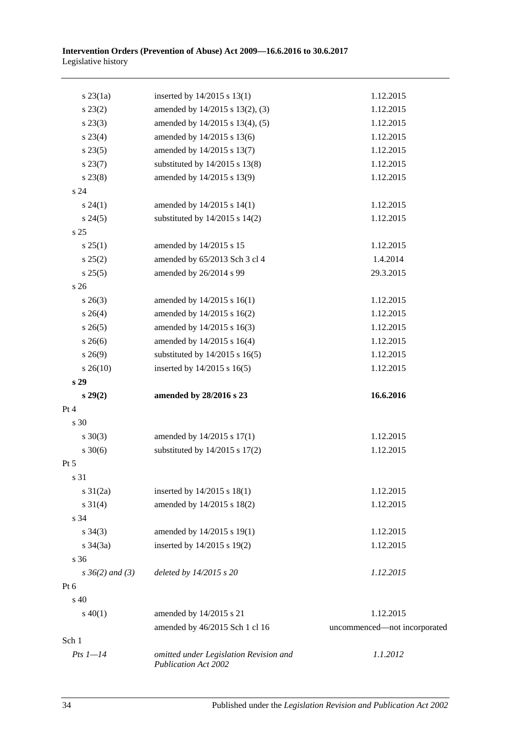| $s$ 23 $(1a)$        | inserted by $14/2015$ s $13(1)$                                | 1.12.2015                    |
|----------------------|----------------------------------------------------------------|------------------------------|
| $s\,23(2)$           | amended by 14/2015 s 13(2), (3)                                | 1.12.2015                    |
| $s\,23(3)$           | amended by 14/2015 s 13(4), (5)                                | 1.12.2015                    |
| $s\,23(4)$           | amended by 14/2015 s 13(6)                                     | 1.12.2015                    |
| s 23(5)              | amended by 14/2015 s 13(7)                                     | 1.12.2015                    |
| $s\,23(7)$           | substituted by $14/2015$ s $13(8)$                             | 1.12.2015                    |
| $s\,23(8)$           | amended by 14/2015 s 13(9)                                     | 1.12.2015                    |
| s <sub>24</sub>      |                                                                |                              |
| $s\,24(1)$           | amended by 14/2015 s 14(1)                                     | 1.12.2015                    |
| $s\,24(5)$           | substituted by $14/2015$ s $14(2)$                             | 1.12.2015                    |
| s 25                 |                                                                |                              |
| s 25(1)              | amended by 14/2015 s 15                                        | 1.12.2015                    |
| s 25(2)              | amended by 65/2013 Sch 3 cl 4                                  | 1.4.2014                     |
| s 25(5)              | amended by 26/2014 s 99                                        | 29.3.2015                    |
| s <sub>26</sub>      |                                                                |                              |
| $s\,26(3)$           | amended by 14/2015 s 16(1)                                     | 1.12.2015                    |
| $s \; 26(4)$         | amended by 14/2015 s 16(2)                                     | 1.12.2015                    |
| $s \; 26(5)$         | amended by 14/2015 s 16(3)                                     | 1.12.2015                    |
| $s\,26(6)$           | amended by 14/2015 s 16(4)                                     | 1.12.2015                    |
| $s\,26(9)$           | substituted by $14/2015$ s $16(5)$                             | 1.12.2015                    |
| $s\,26(10)$          | inserted by $14/2015$ s $16(5)$                                | 1.12.2015                    |
| s 29                 |                                                                |                              |
| $s\,29(2)$           | amended by 28/2016 s 23                                        | 16.6.2016                    |
| Pt 4                 |                                                                |                              |
| s 30                 |                                                                |                              |
| $s \ 30(3)$          | amended by 14/2015 s 17(1)                                     | 1.12.2015                    |
| $s \ 30(6)$          | substituted by $14/2015$ s $17(2)$                             | 1.12.2015                    |
| Pt 5                 |                                                                |                              |
| s 31                 |                                                                |                              |
| $s \ 31(2a)$         | inserted by $14/2015$ s $18(1)$                                | 1.12.2015                    |
| $s \ 31(4)$          | amended by 14/2015 s 18(2)                                     | 1.12.2015                    |
| s 34                 |                                                                |                              |
| $s \; 34(3)$         | amended by 14/2015 s 19(1)                                     | 1.12.2015                    |
| $s \; 34(3a)$        | inserted by 14/2015 s 19(2)                                    | 1.12.2015                    |
| s 36                 |                                                                |                              |
| $s \, 36(2)$ and (3) | deleted by 14/2015 s 20                                        | 1.12.2015                    |
| Pt 6                 |                                                                |                              |
| $\rm s$ 40           |                                                                |                              |
| $s\ 40(1)$           | amended by 14/2015 s 21                                        | 1.12.2015                    |
|                      | amended by 46/2015 Sch 1 cl 16                                 | uncommenced-not incorporated |
| Sch 1                |                                                                |                              |
| $Pts$ $1-14$         | omitted under Legislation Revision and<br>Publication Act 2002 | 1.1.2012                     |